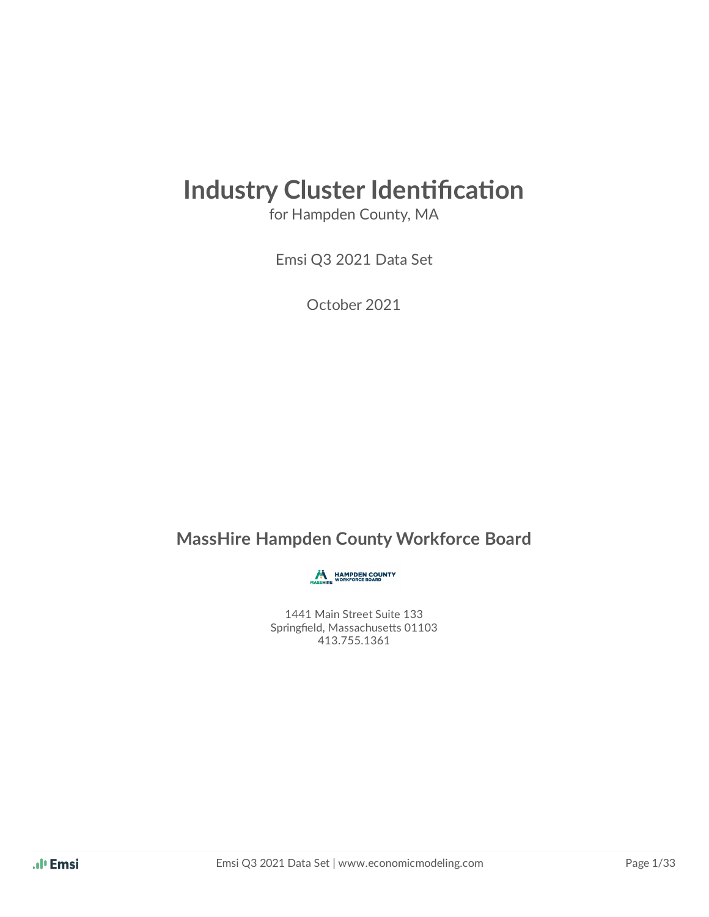# **Industry Cluster Identification**

for Hampden County, MA

Emsi Q3 2021 Data Set

October 2021

### **MassHire Hampden County Workforce Board**

**AN HAMPDEN COUNTY** 

1441 Main Street Suite 133 Springfield, Massachusetts 01103 413.755.1361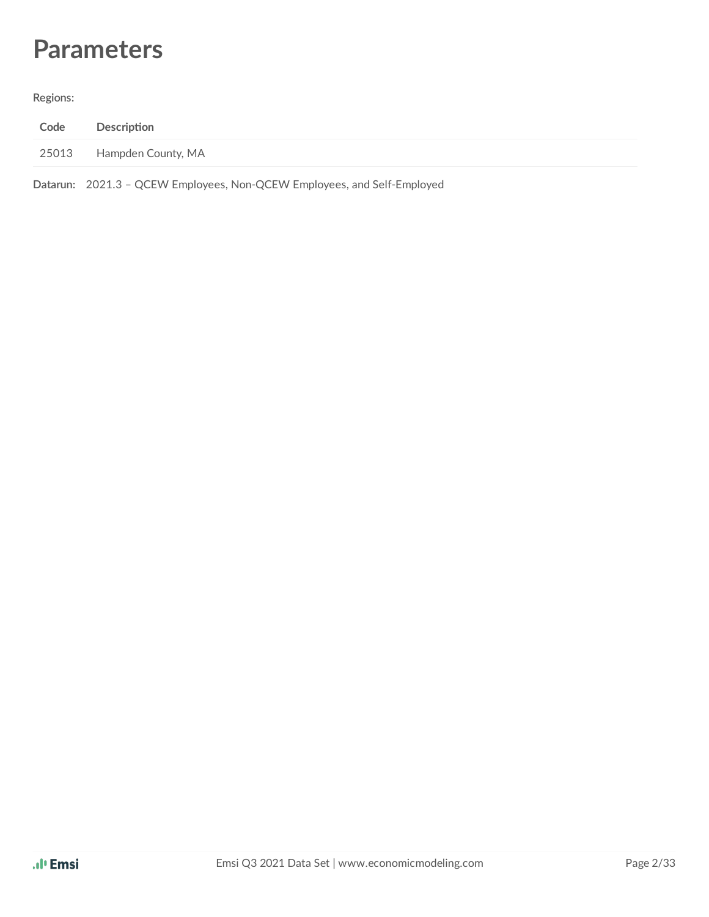# **Parameters**

**Regions:**

| Code  | Description                                                             |
|-------|-------------------------------------------------------------------------|
| 25013 | Hampden County. MA                                                      |
|       | Datarun: 2021.3 - QCEW Employees, Non-QCEW Employees, and Self-Employed |

.ıl<sup>ı</sup> Emsi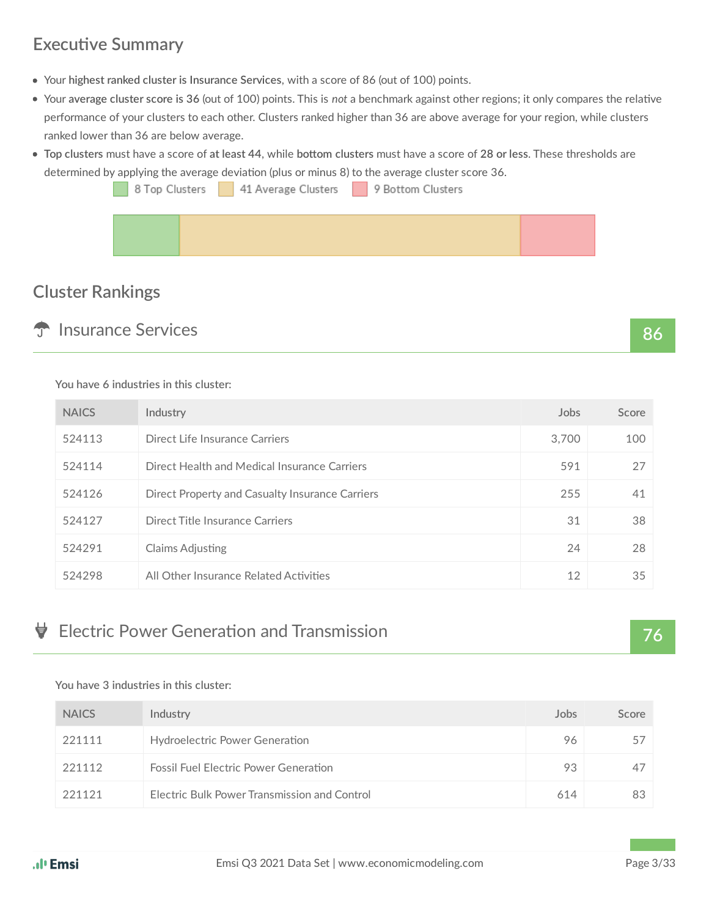### **Executive Summary**

- Your **highest ranked cluster is Insurance Services**, with a score of 86 (out of 100) points.
- Your average cluster score is 36 (out of 100) points. This is *not* a benchmark against other regions; it only compares the relative performance of your clusters to each other. Clusters ranked higher than 36 are above average for your region, while clusters ranked lower than 36 are below average.
- **•** Top clusters must have a score of at least 44, while bottom clusters must have a score of 28 or less. These thresholds are determined by applying the average deviation (plus or minus 8) to the average cluster score 36.

8 Top Clusters 41 Average Clusters 9 Bottom Clusters



### **Cluster Rankings**

### **Insurance Services** 86

#### **You have 6 industries in this cluster:**

| <b>NAICS</b> | Industry                                        | Jobs  | Score |
|--------------|-------------------------------------------------|-------|-------|
| 524113       | Direct Life Insurance Carriers                  | 3,700 | 100   |
| 524114       | Direct Health and Medical Insurance Carriers    | 591   | 27    |
| 524126       | Direct Property and Casualty Insurance Carriers | 255   | 41    |
| 524127       | Direct Title Insurance Carriers                 | 31    | 38    |
| 524291       | Claims Adjusting                                | 24    | 28    |
| 524298       | All Other Insurance Related Activities          | 12    | 35    |

### Electric Power Generation and Transmission **76**

#### **You have 3 industries in this cluster:**

| <b>NAICS</b> | Industry                                     | Jobs | Score |
|--------------|----------------------------------------------|------|-------|
| 221111       | <b>Hydroelectric Power Generation</b>        | 96   | 57    |
| 221112       | <b>Fossil Fuel Electric Power Generation</b> | 93   | 47    |
| 221121       | Electric Bulk Power Transmission and Control | 614  | 83    |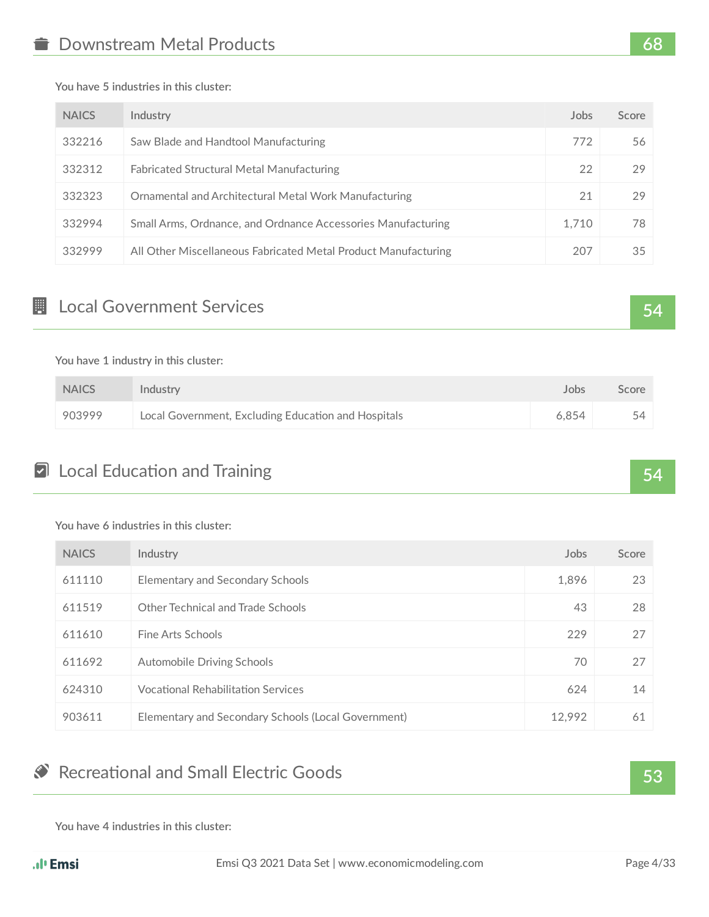**You have 5 industries in this cluster:**

| <b>NAICS</b> | Industry                                                       | Jobs  | Score |
|--------------|----------------------------------------------------------------|-------|-------|
| 332216       | Saw Blade and Handtool Manufacturing                           | 772   | 56    |
| 332312       | <b>Fabricated Structural Metal Manufacturing</b>               | 22    | 29    |
| 332323       | Ornamental and Architectural Metal Work Manufacturing          | 21    | 29    |
| 332994       | Small Arms, Ordnance, and Ordnance Accessories Manufacturing   | 1,710 | 78    |
| 332999       | All Other Miscellaneous Fabricated Metal Product Manufacturing | 207   | 35    |

### **Example 26 Services 54** Services **54** Services **54** Services **54** Services **54** Services **54** Services **54** Services **54** Services **54** Services **54** Services **54** Services **54** Services **54** Services **54** Services **54**

**You have 1 industry in this cluster:**

| <b>NAICS</b> | Industry                                            | Jobs  | Score |
|--------------|-----------------------------------------------------|-------|-------|
| 903999       | Local Government, Excluding Education and Hospitals | 6.854 | 54    |

### **2** Local Education and Training **54 54**

**You have 6 industries in this cluster:**

| <b>NAICS</b> | Industry                                            | Jobs   | Score |
|--------------|-----------------------------------------------------|--------|-------|
| 611110       | <b>Elementary and Secondary Schools</b>             | 1,896  | 23    |
| 611519       | Other Technical and Trade Schools                   | 43     | 28    |
| 611610       | Fine Arts Schools                                   | 229    | 27    |
| 611692       | <b>Automobile Driving Schools</b>                   | 70     | 27    |
| 624310       | <b>Vocational Rehabilitation Services</b>           | 624    | 14    |
| 903611       | Elementary and Secondary Schools (Local Government) | 12,992 | 61    |

### **Recreational and Small Electric Goods 53**

**You have 4 industries in this cluster:**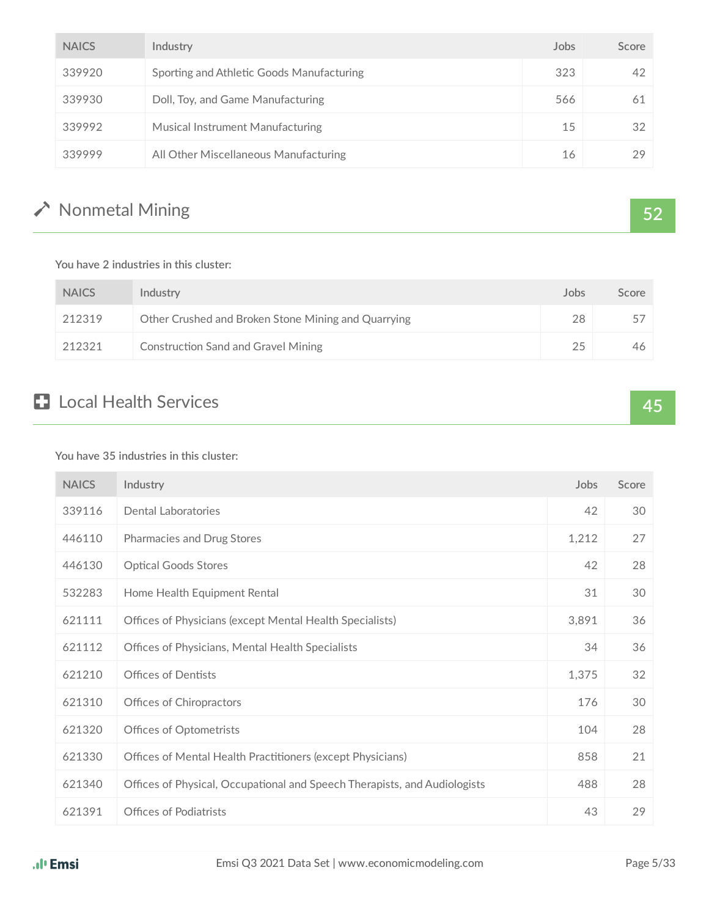| <b>NAICS</b> | Industry                                  | Jobs | Score |
|--------------|-------------------------------------------|------|-------|
| 339920       | Sporting and Athletic Goods Manufacturing | 323  | 42    |
| 339930       | Doll, Toy, and Game Manufacturing         | 566  | 61    |
| 339992       | <b>Musical Instrument Manufacturing</b>   | 15   | -32   |
| 339999       | All Other Miscellaneous Manufacturing     | 16   | 29    |

# ◆ Nonmetal Mining **52**

#### **You have 2 industries in this cluster:**

| <b>NAICS</b> | Industry                                            | Jobs | Score |
|--------------|-----------------------------------------------------|------|-------|
| 212319       | Other Crushed and Broken Stone Mining and Quarrying | 28   | -57   |
| 212321       | <b>Construction Sand and Gravel Mining</b>          | 25   | 46    |

# Local Health Services **45**

#### **You have 35 industries in this cluster:**

| <b>NAICS</b> | Industry                                                                  | Jobs  | Score |
|--------------|---------------------------------------------------------------------------|-------|-------|
| 339116       | Dental Laboratories                                                       | 42    | 30    |
| 446110       | Pharmacies and Drug Stores                                                | 1,212 | 27    |
| 446130       | <b>Optical Goods Stores</b>                                               | 42    | 28    |
| 532283       | Home Health Equipment Rental                                              | 31    | 30    |
| 621111       | Offices of Physicians (except Mental Health Specialists)                  | 3,891 | 36    |
| 621112       | Offices of Physicians, Mental Health Specialists                          | 34    | 36    |
| 621210       | <b>Offices of Dentists</b>                                                | 1,375 | 32    |
| 621310       | Offices of Chiropractors                                                  | 176   | 30    |
| 621320       | <b>Offices of Optometrists</b>                                            | 104   | 28    |
| 621330       | Offices of Mental Health Practitioners (except Physicians)                | 858   | 21    |
| 621340       | Offices of Physical, Occupational and Speech Therapists, and Audiologists | 488   | 28    |
| 621391       | Offices of Podiatrists                                                    | 43    | 29    |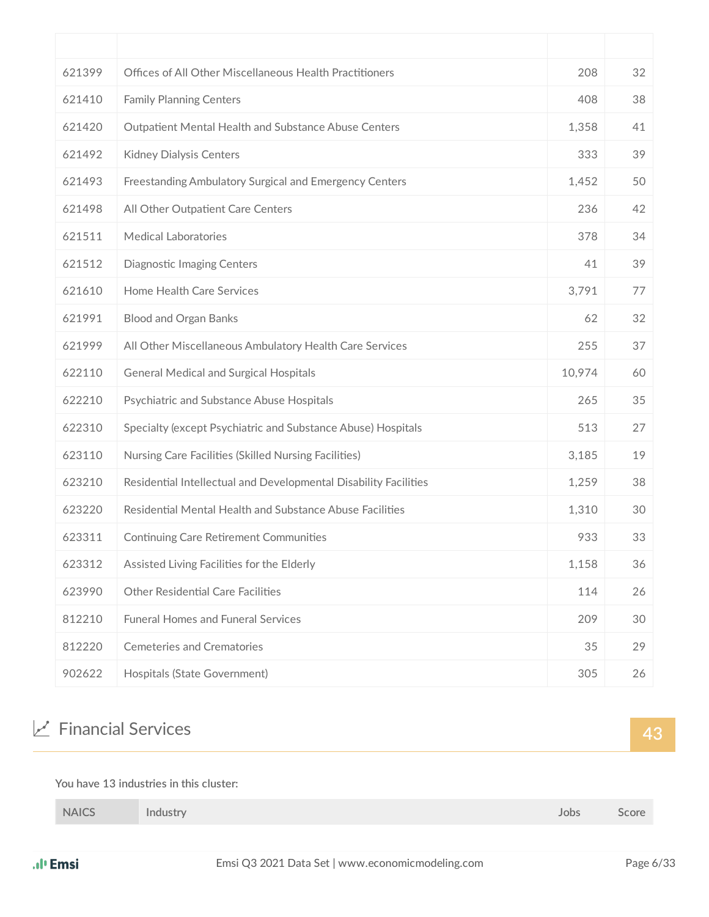| 621399 | Offices of All Other Miscellaneous Health Practitioners          | 208    | 32 |
|--------|------------------------------------------------------------------|--------|----|
| 621410 | <b>Family Planning Centers</b>                                   | 408    | 38 |
| 621420 | Outpatient Mental Health and Substance Abuse Centers             | 1,358  | 41 |
| 621492 | <b>Kidney Dialysis Centers</b>                                   | 333    | 39 |
| 621493 | Freestanding Ambulatory Surgical and Emergency Centers           | 1,452  | 50 |
| 621498 | All Other Outpatient Care Centers                                | 236    | 42 |
| 621511 | <b>Medical Laboratories</b>                                      | 378    | 34 |
| 621512 | <b>Diagnostic Imaging Centers</b>                                | 41     | 39 |
| 621610 | Home Health Care Services                                        | 3,791  | 77 |
| 621991 | <b>Blood and Organ Banks</b>                                     | 62     | 32 |
| 621999 | All Other Miscellaneous Ambulatory Health Care Services          | 255    | 37 |
| 622110 | <b>General Medical and Surgical Hospitals</b>                    | 10,974 | 60 |
| 622210 | Psychiatric and Substance Abuse Hospitals                        | 265    | 35 |
| 622310 | Specialty (except Psychiatric and Substance Abuse) Hospitals     | 513    | 27 |
| 623110 | Nursing Care Facilities (Skilled Nursing Facilities)             | 3,185  | 19 |
| 623210 | Residential Intellectual and Developmental Disability Facilities | 1,259  | 38 |
| 623220 | Residential Mental Health and Substance Abuse Facilities         | 1,310  | 30 |
| 623311 | <b>Continuing Care Retirement Communities</b>                    | 933    | 33 |
| 623312 | Assisted Living Facilities for the Elderly                       | 1,158  | 36 |
| 623990 | <b>Other Residential Care Facilities</b>                         | 114    | 26 |
| 812210 | <b>Funeral Homes and Funeral Services</b>                        | 209    | 30 |
| 812220 | <b>Cemeteries and Crematories</b>                                | 35     | 29 |
| 902622 | Hospitals (State Government)                                     | 305    | 26 |

# Financial Services **43**

**You have 13 industries in this cluster:**

| <b>NAICS</b> | Industry | Jobs | Score |
|--------------|----------|------|-------|
|              |          |      |       |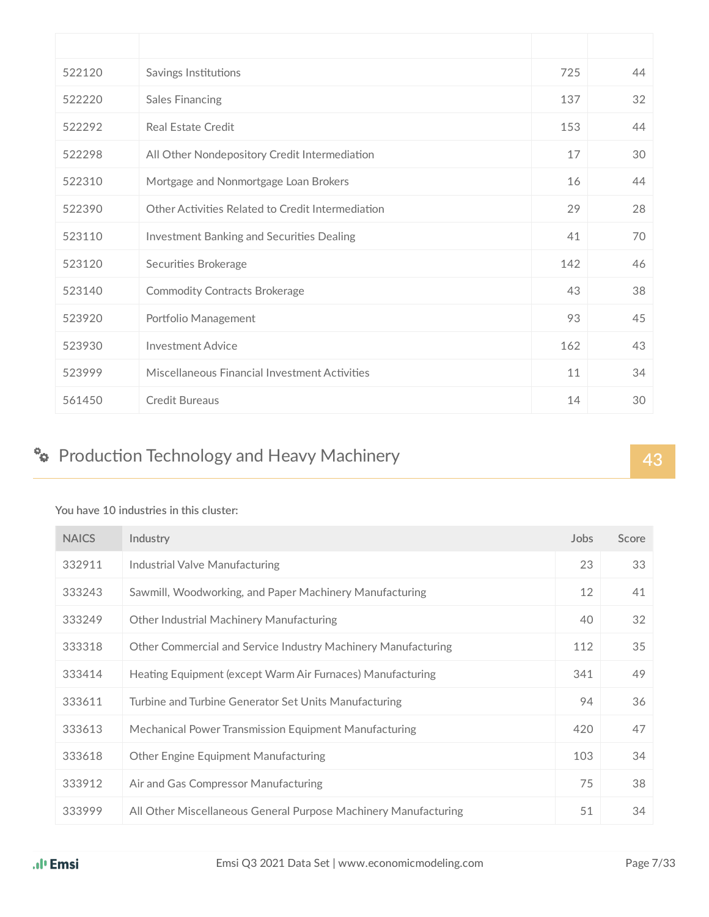| 522120 | Savings Institutions                              | 725 | 44 |
|--------|---------------------------------------------------|-----|----|
| 522220 | <b>Sales Financing</b>                            | 137 | 32 |
| 522292 | Real Estate Credit                                | 153 | 44 |
| 522298 | All Other Nondepository Credit Intermediation     | 17  | 30 |
| 522310 | Mortgage and Nonmortgage Loan Brokers             | 16  | 44 |
| 522390 | Other Activities Related to Credit Intermediation | 29  | 28 |
| 523110 | Investment Banking and Securities Dealing         | 41  | 70 |
| 523120 | Securities Brokerage                              | 142 | 46 |
| 523140 | <b>Commodity Contracts Brokerage</b>              | 43  | 38 |
| 523920 | Portfolio Management                              | 93  | 45 |
| 523930 | <b>Investment Advice</b>                          | 162 | 43 |
| 523999 | Miscellaneous Financial Investment Activities     | 11  | 34 |
| 561450 | <b>Credit Bureaus</b>                             | 14  | 30 |

# <sup>9</sup> Production Technology and Heavy Machinery **43**

#### **You have 10 industries in this cluster:**

| <b>NAICS</b> | <b>Industry</b>                                                 | Jobs | Score |
|--------------|-----------------------------------------------------------------|------|-------|
| 332911       | Industrial Valve Manufacturing                                  | 23   | 33    |
| 333243       | Sawmill, Woodworking, and Paper Machinery Manufacturing         | 12   | 41    |
| 333249       | <b>Other Industrial Machinery Manufacturing</b>                 | 40   | 32    |
| 333318       | Other Commercial and Service Industry Machinery Manufacturing   | 112  | 35    |
| 333414       | Heating Equipment (except Warm Air Furnaces) Manufacturing      | 341  | 49    |
| 333611       | Turbine and Turbine Generator Set Units Manufacturing           | 94   | 36    |
| 333613       | Mechanical Power Transmission Equipment Manufacturing           | 420  | 47    |
| 333618       | <b>Other Engine Equipment Manufacturing</b>                     | 103  | 34    |
| 333912       | Air and Gas Compressor Manufacturing                            | 75   | 38    |
| 333999       | All Other Miscellaneous General Purpose Machinery Manufacturing | 51   | 34    |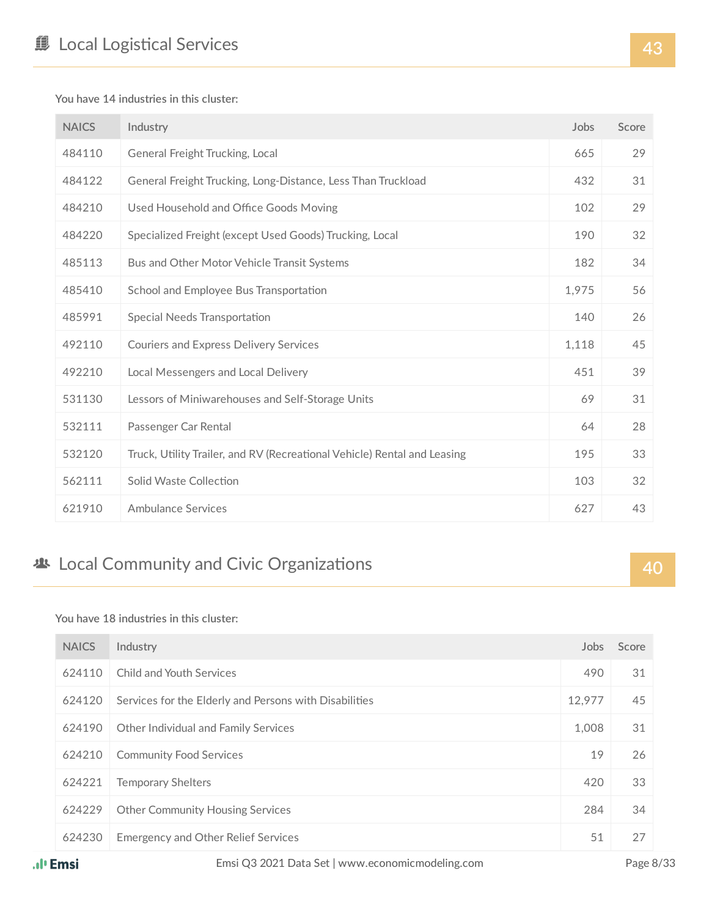**You have 14 industries in this cluster:**

| <b>NAICS</b> | Industry                                                                 | Jobs  | Score |
|--------------|--------------------------------------------------------------------------|-------|-------|
| 484110       | General Freight Trucking, Local                                          | 665   | 29    |
| 484122       | General Freight Trucking, Long-Distance, Less Than Truckload             | 432   | 31    |
| 484210       | Used Household and Office Goods Moving                                   | 102   | 29    |
| 484220       | Specialized Freight (except Used Goods) Trucking, Local                  | 190   | 32    |
| 485113       | Bus and Other Motor Vehicle Transit Systems                              | 182   | 34    |
| 485410       | School and Employee Bus Transportation                                   | 1,975 | 56    |
| 485991       | Special Needs Transportation                                             | 140   | 26    |
| 492110       | <b>Couriers and Express Delivery Services</b>                            | 1,118 | 45    |
| 492210       | Local Messengers and Local Delivery                                      | 451   | 39    |
| 531130       | Lessors of Miniwarehouses and Self-Storage Units                         | 69    | 31    |
| 532111       | Passenger Car Rental                                                     | 64    | 28    |
| 532120       | Truck, Utility Trailer, and RV (Recreational Vehicle) Rental and Leasing | 195   | 33    |
| 562111       | Solid Waste Collection                                                   | 103   | 32    |
| 621910       | Ambulance Services                                                       | 627   | 43    |

### **<sup>48</sup>** Local Community and Civic Organizations **1999 10 40**

#### **You have 18 industries in this cluster:**

| <b>NAICS</b> | Industry                                               | Jobs   | Score |
|--------------|--------------------------------------------------------|--------|-------|
| 624110       | Child and Youth Services                               | 490    | 31    |
| 624120       | Services for the Elderly and Persons with Disabilities | 12,977 | 45    |
| 624190       | Other Individual and Family Services                   | 1,008  | 31    |
| 624210       | <b>Community Food Services</b>                         | 19     | 26    |
| 624221       | <b>Temporary Shelters</b>                              | 420    | 33    |
| 624229       | <b>Other Community Housing Services</b>                | 284    | 34    |
| 624230       | <b>Emergency and Other Relief Services</b>             | 51     | 27    |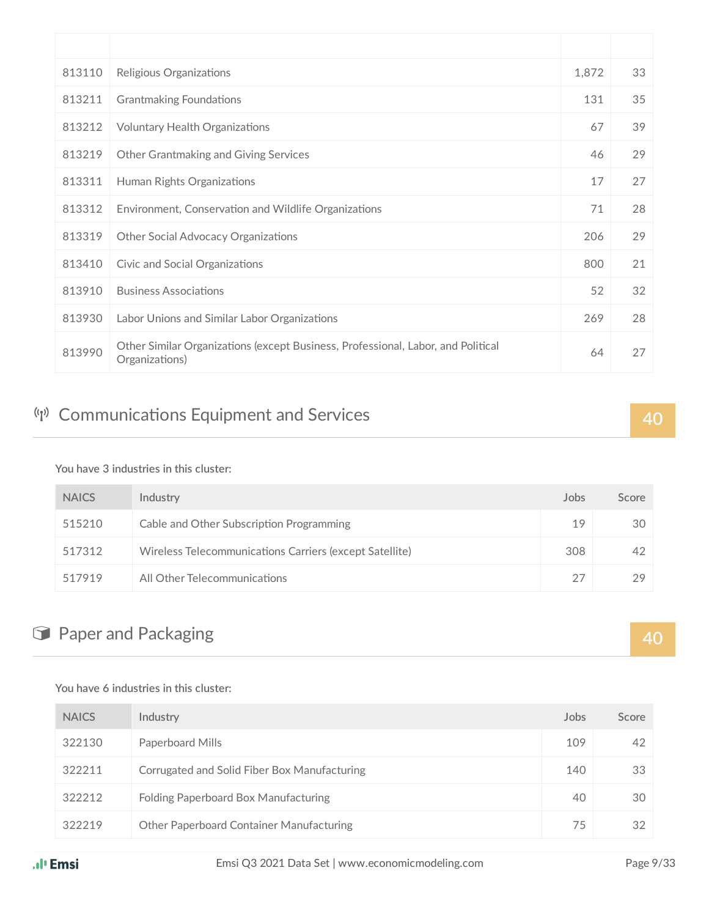| 813110 | Religious Organizations                                                                            | 1,872 | 33 |
|--------|----------------------------------------------------------------------------------------------------|-------|----|
| 813211 | <b>Grantmaking Foundations</b>                                                                     | 131   | 35 |
| 813212 | <b>Voluntary Health Organizations</b>                                                              | 67    | 39 |
| 813219 | Other Grantmaking and Giving Services                                                              | 46    | 29 |
| 813311 | Human Rights Organizations                                                                         | 17    | 27 |
| 813312 | Environment, Conservation and Wildlife Organizations                                               | 71    | 28 |
| 813319 | Other Social Advocacy Organizations                                                                | 206   | 29 |
| 813410 | Civic and Social Organizations                                                                     | 800   | 21 |
| 813910 | <b>Business Associations</b>                                                                       | 52    | 32 |
| 813930 | Labor Unions and Similar Labor Organizations                                                       | 269   | 28 |
| 813990 | Other Similar Organizations (except Business, Professional, Labor, and Political<br>Organizations) | 64    | 27 |

# <sup>((p)</sup> Communications Equipment and Services 40

#### **You have 3 industries in this cluster:**

| <b>NAICS</b> | Industry                                                | Jobs | Score |
|--------------|---------------------------------------------------------|------|-------|
| 515210       | Cable and Other Subscription Programming                | 19   | -30   |
| 517312       | Wireless Telecommunications Carriers (except Satellite) | 308  | 42    |
| 517919       | All Other Telecommunications                            |      | 29    |

# **Paper and Packaging and Packaging and Packaging and Packaging and Packaging and Packaging and Packaging and Packaging and Packaging and Packaging and Packaging and Packaging and Packaging and Packaging and Packaging and P**

#### **You have 6 industries in this cluster:**

| <b>NAICS</b> | Industry                                     | Jobs | Score |
|--------------|----------------------------------------------|------|-------|
| 322130       | Paperboard Mills                             | 109  | 42    |
| 322211       | Corrugated and Solid Fiber Box Manufacturing | 140  | 33    |
| 322212       | Folding Paperboard Box Manufacturing         | 40   | 30    |
| 322219       | Other Paperboard Container Manufacturing     | 75   | 32    |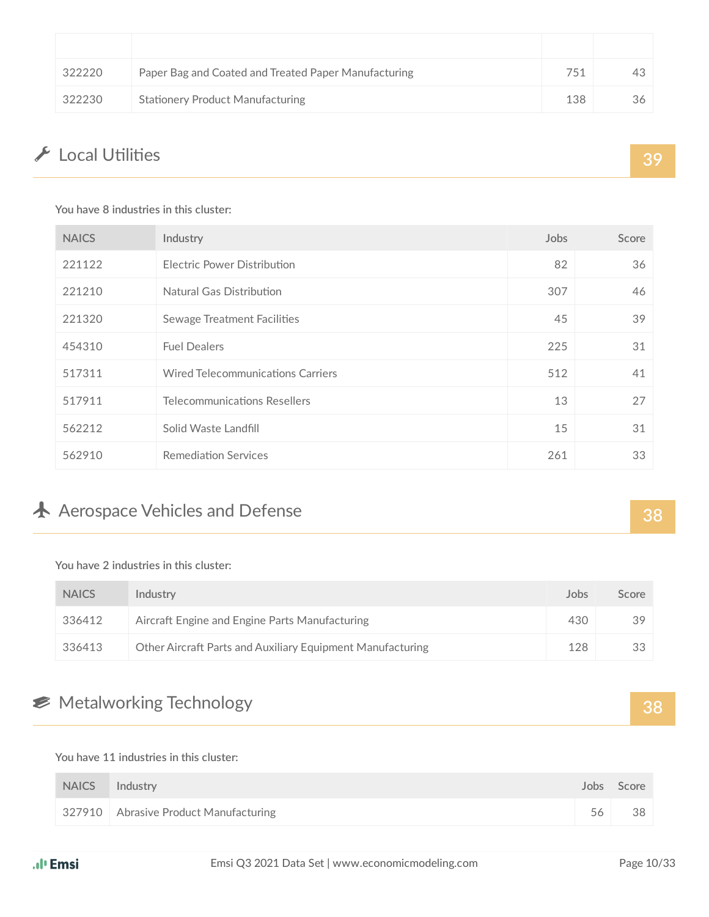| 322220 | Paper Bag and Coated and Treated Paper Manufacturing | 751 | 43 |
|--------|------------------------------------------------------|-----|----|
| 322230 | <b>Stationery Product Manufacturing</b>              | 138 | 36 |

# ▲ Local Utilities **39**

#### **You have 8 industries in this cluster:**

| <b>NAICS</b> | Industry                          | Jobs | Score |
|--------------|-----------------------------------|------|-------|
| 221122       | Electric Power Distribution       | 82   | 36    |
| 221210       | Natural Gas Distribution          | 307  | 46    |
| 221320       | Sewage Treatment Facilities       | 45   | 39    |
| 454310       | <b>Fuel Dealers</b>               | 225  | 31    |
| 517311       | Wired Telecommunications Carriers | 512  | 41    |
| 517911       | Telecommunications Resellers      | 13   | 27    |
| 562212       | Solid Waste Landfill              | 15   | 31    |
| 562910       | <b>Remediation Services</b>       | 261  | 33    |

### Acrospace Vehicles and Defense **38**

#### **You have 2 industries in this cluster:**

| <b>NAICS</b> | Industry                                                   | Jobs | Score |
|--------------|------------------------------------------------------------|------|-------|
| 336412       | Aircraft Engine and Engine Parts Manufacturing             | 430  | 39    |
| 336413       | Other Aircraft Parts and Auxiliary Equipment Manufacturing | 128  | 33    |

### **EXAMPLE Metalworking Technology 38**

#### **You have 11 industries in this cluster:**

| <b>NAICS</b> | Industry                                |    | Jobs Score |
|--------------|-----------------------------------------|----|------------|
|              | 327910   Abrasive Product Manufacturing | 56 | 38         |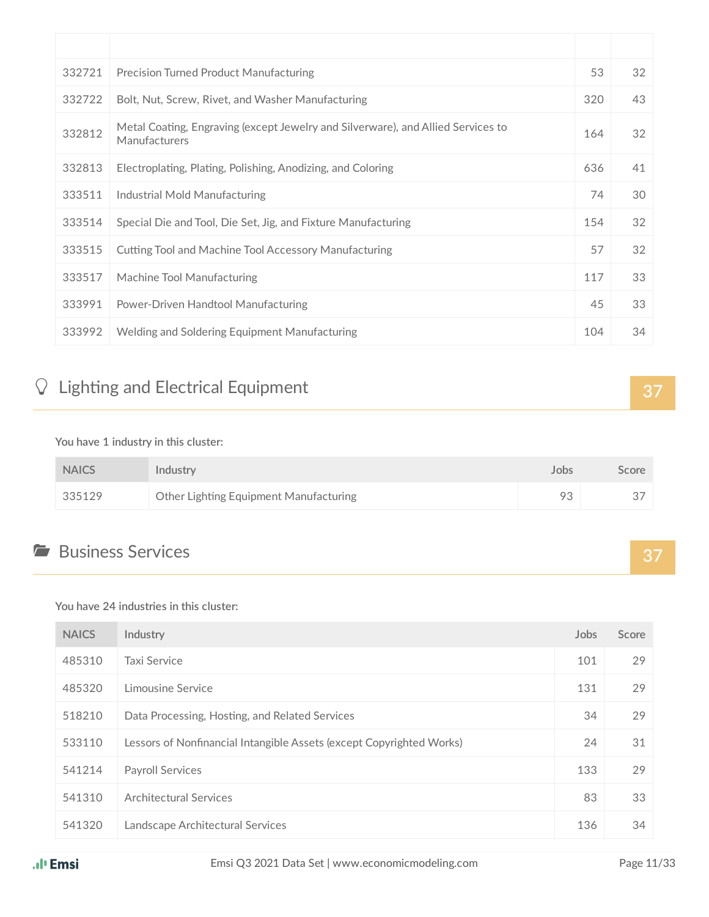| 332721 | <b>Precision Turned Product Manufacturing</b>                                                     | 53  | 32 |
|--------|---------------------------------------------------------------------------------------------------|-----|----|
| 332722 | Bolt, Nut, Screw, Rivet, and Washer Manufacturing                                                 | 320 | 43 |
| 332812 | Metal Coating, Engraving (except Jewelry and Silverware), and Allied Services to<br>Manufacturers | 164 | 32 |
| 332813 | Electroplating, Plating, Polishing, Anodizing, and Coloring                                       | 636 | 41 |
| 333511 | Industrial Mold Manufacturing                                                                     | 74  | 30 |
| 333514 | Special Die and Tool, Die Set, Jig, and Fixture Manufacturing                                     | 154 | 32 |
| 333515 | Cutting Tool and Machine Tool Accessory Manufacturing                                             | 57  | 32 |
| 333517 | Machine Tool Manufacturing                                                                        | 117 | 33 |
| 333991 | Power-Driven Handtool Manufacturing                                                               | 45  | 33 |
| 333992 | Welding and Soldering Equipment Manufacturing                                                     | 104 | 34 |

## Q Lighting and Electrical Equipment **37**

#### **You have 1 industry in this cluster:**

| <b>NAICS</b> | Industry                               | Jobs | Score |
|--------------|----------------------------------------|------|-------|
| 335129       | Other Lighting Equipment Manufacturing | 93   |       |

# Business Services **37**

#### **You have 24 industries in this cluster:**

| <b>NAICS</b> | Industry                                                             | Jobs | Score |
|--------------|----------------------------------------------------------------------|------|-------|
| 485310       | Taxi Service                                                         | 101  | 29    |
| 485320       | Limousine Service                                                    | 131  | 29    |
| 518210       | Data Processing, Hosting, and Related Services                       | 34   | 29    |
| 533110       | Lessors of Nonfinancial Intangible Assets (except Copyrighted Works) | 24   | 31    |
| 541214       | <b>Payroll Services</b>                                              | 133  | 29    |
| 541310       | <b>Architectural Services</b>                                        | 83   | 33    |
| 541320       | Landscape Architectural Services                                     | 136  | 34    |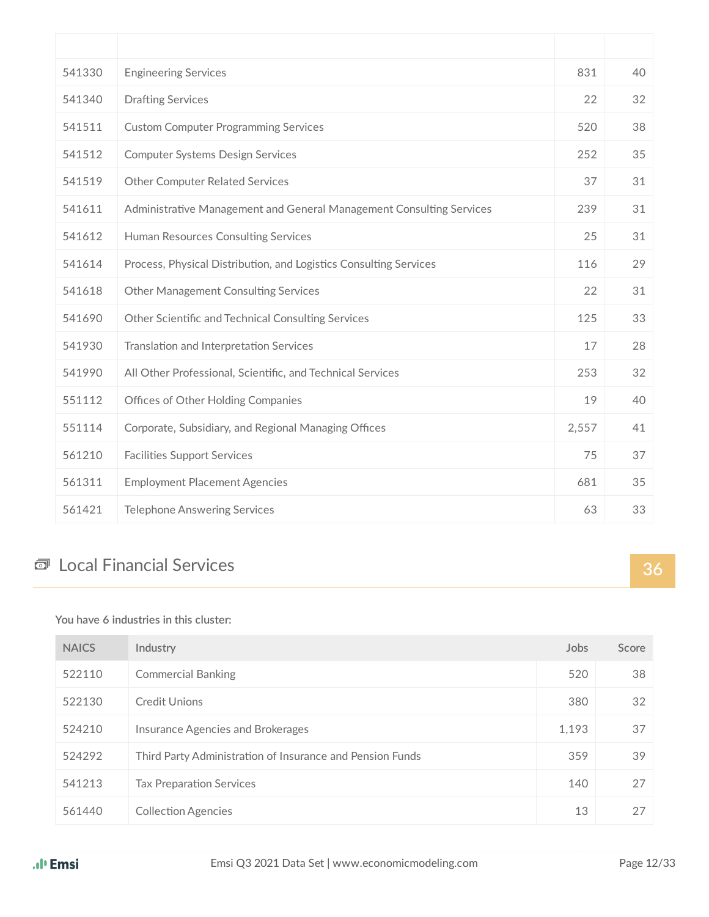| 541330 | <b>Engineering Services</b>                                          | 831   | 40 |
|--------|----------------------------------------------------------------------|-------|----|
| 541340 | <b>Drafting Services</b>                                             | 22    | 32 |
| 541511 | <b>Custom Computer Programming Services</b>                          | 520   | 38 |
| 541512 | <b>Computer Systems Design Services</b>                              | 252   | 35 |
| 541519 | <b>Other Computer Related Services</b>                               | 37    | 31 |
| 541611 | Administrative Management and General Management Consulting Services | 239   | 31 |
| 541612 | Human Resources Consulting Services                                  | 25    | 31 |
| 541614 | Process, Physical Distribution, and Logistics Consulting Services    | 116   | 29 |
| 541618 | <b>Other Management Consulting Services</b>                          | 22    | 31 |
| 541690 | Other Scientific and Technical Consulting Services                   | 125   | 33 |
| 541930 | Translation and Interpretation Services                              | 17    | 28 |
| 541990 | All Other Professional, Scientific, and Technical Services           | 253   | 32 |
| 551112 | Offices of Other Holding Companies                                   | 19    | 40 |
| 551114 | Corporate, Subsidiary, and Regional Managing Offices                 | 2,557 | 41 |
| 561210 | <b>Facilities Support Services</b>                                   | 75    | 37 |
| 561311 | <b>Employment Placement Agencies</b>                                 | 681   | 35 |
| 561421 | <b>Telephone Answering Services</b>                                  | 63    | 33 |

# Local Financial Services **36**

#### **You have 6 industries in this cluster:**

| <b>NAICS</b> | Industry                                                  | Jobs  | Score |
|--------------|-----------------------------------------------------------|-------|-------|
| 522110       | <b>Commercial Banking</b>                                 | 520   | 38    |
| 522130       | Credit Unions                                             | 380   | 32    |
| 524210       | Insurance Agencies and Brokerages                         | 1,193 | 37    |
| 524292       | Third Party Administration of Insurance and Pension Funds | 359   | 39    |
| 541213       | <b>Tax Preparation Services</b>                           | 140   | 27    |
| 561440       | <b>Collection Agencies</b>                                | 13    | 27    |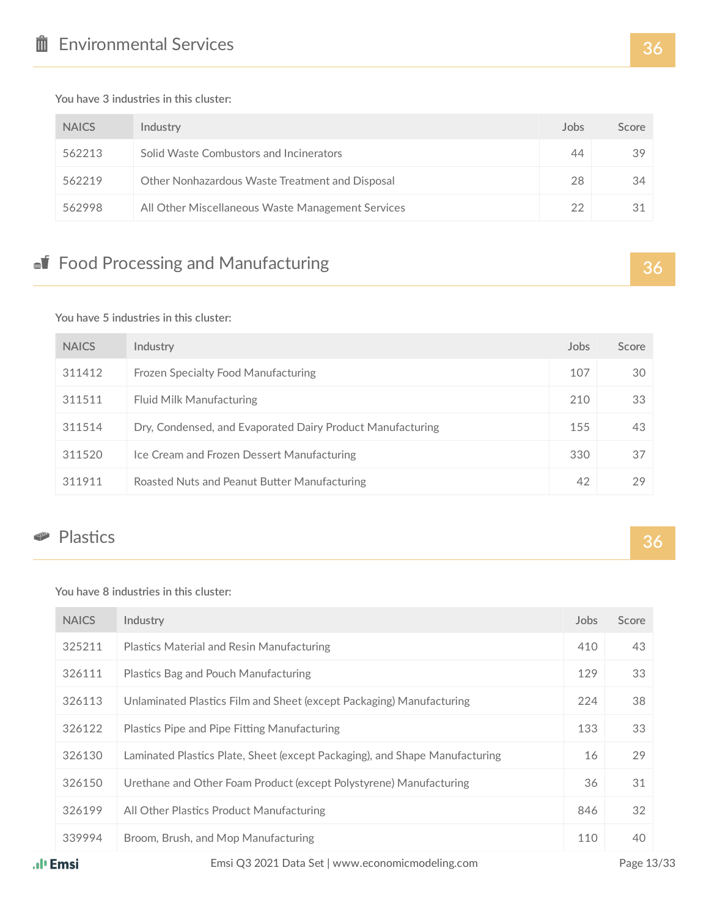**You have 3 industries in this cluster:**

| <b>NAICS</b> | Industry                                          | Jobs | Score |
|--------------|---------------------------------------------------|------|-------|
| 562213       | Solid Waste Combustors and Incinerators           | 44   | 39    |
| 562219       | Other Nonhazardous Waste Treatment and Disposal   | 28   | 34    |
| 562998       | All Other Miscellaneous Waste Management Services | 22   | 31    |

## Food Processing and Manufacturing **36**

#### **You have 5 industries in this cluster:**

| <b>NAICS</b> | Industry                                                   | Jobs | Score |
|--------------|------------------------------------------------------------|------|-------|
| 311412       | Frozen Specialty Food Manufacturing                        | 107  | 30    |
| 311511       | <b>Fluid Milk Manufacturing</b>                            | 210  | 33    |
| 311514       | Dry, Condensed, and Evaporated Dairy Product Manufacturing | 155  | 43    |
| 311520       | Ice Cream and Frozen Dessert Manufacturing                 | 330  | 37    |
| 311911       | Roasted Nuts and Peanut Butter Manufacturing               | 42   | 29    |

### **Plastics** 36

**You have 8 industries in this cluster:**

| <b>NAICS</b> | Industry                                                                    | Jobs | Score |
|--------------|-----------------------------------------------------------------------------|------|-------|
| 325211       | Plastics Material and Resin Manufacturing                                   | 410  | 43    |
| 326111       | Plastics Bag and Pouch Manufacturing                                        | 129  | 33    |
| 326113       | Unlaminated Plastics Film and Sheet (except Packaging) Manufacturing        | 224  | 38    |
| 326122       | Plastics Pipe and Pipe Fitting Manufacturing                                | 133  | 33    |
| 326130       | Laminated Plastics Plate, Sheet (except Packaging), and Shape Manufacturing | 16   | 29    |
| 326150       | Urethane and Other Foam Product (except Polystyrene) Manufacturing          | 36   | 31    |
| 326199       | All Other Plastics Product Manufacturing                                    | 846  | 32    |
| 339994       | Broom, Brush, and Mop Manufacturing                                         | 110  | 40    |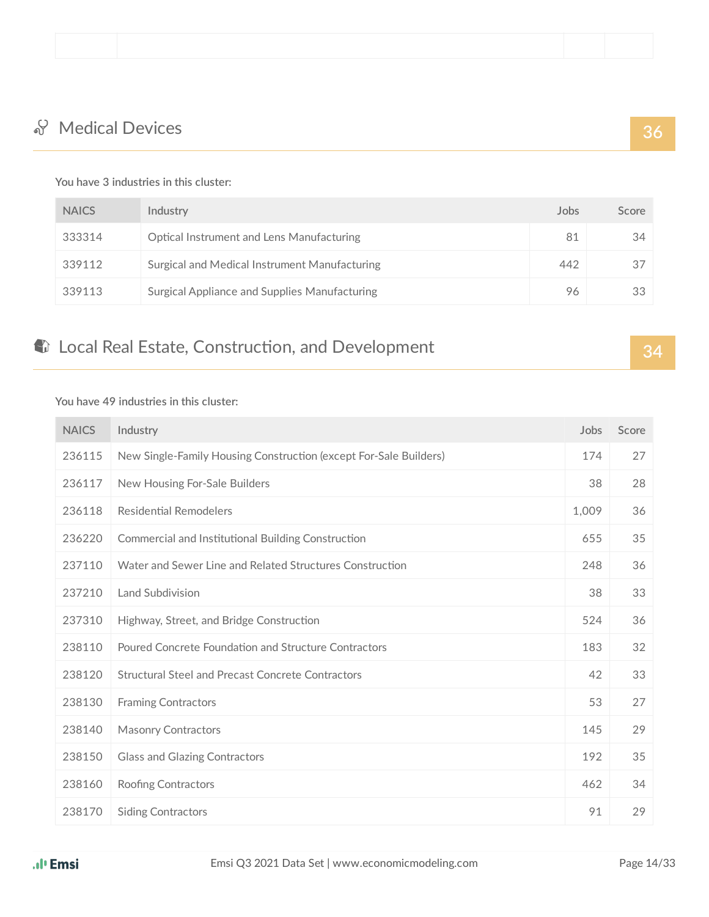# Medical Devices **36**

#### **You have 3 industries in this cluster:**

| <b>NAICS</b> | Industry                                         | Jobs | Score |
|--------------|--------------------------------------------------|------|-------|
| 333314       | <b>Optical Instrument and Lens Manufacturing</b> | 81   | -34   |
| 339112       | Surgical and Medical Instrument Manufacturing    | 442  | -37   |
| 339113       | Surgical Appliance and Supplies Manufacturing    | 96   | -33   |

## **C** Local Real Estate, Construction, and Development **34**

#### **You have 49 industries in this cluster:**

| <b>NAICS</b> | Industry                                                          | Jobs  | Score |
|--------------|-------------------------------------------------------------------|-------|-------|
| 236115       | New Single-Family Housing Construction (except For-Sale Builders) | 174   | 27    |
| 236117       | New Housing For-Sale Builders                                     | 38    | 28    |
| 236118       | <b>Residential Remodelers</b>                                     | 1,009 | 36    |
| 236220       | Commercial and Institutional Building Construction                | 655   | 35    |
| 237110       | Water and Sewer Line and Related Structures Construction          | 248   | 36    |
| 237210       | Land Subdivision                                                  | 38    | 33    |
| 237310       | Highway, Street, and Bridge Construction                          | 524   | 36    |
| 238110       | Poured Concrete Foundation and Structure Contractors              | 183   | 32    |
| 238120       | <b>Structural Steel and Precast Concrete Contractors</b>          | 42    | 33    |
| 238130       | <b>Framing Contractors</b>                                        | 53    | 27    |
| 238140       | <b>Masonry Contractors</b>                                        | 145   | 29    |
| 238150       | <b>Glass and Glazing Contractors</b>                              | 192   | 35    |
| 238160       | Roofing Contractors                                               | 462   | 34    |
| 238170       | <b>Siding Contractors</b>                                         | 91    | 29    |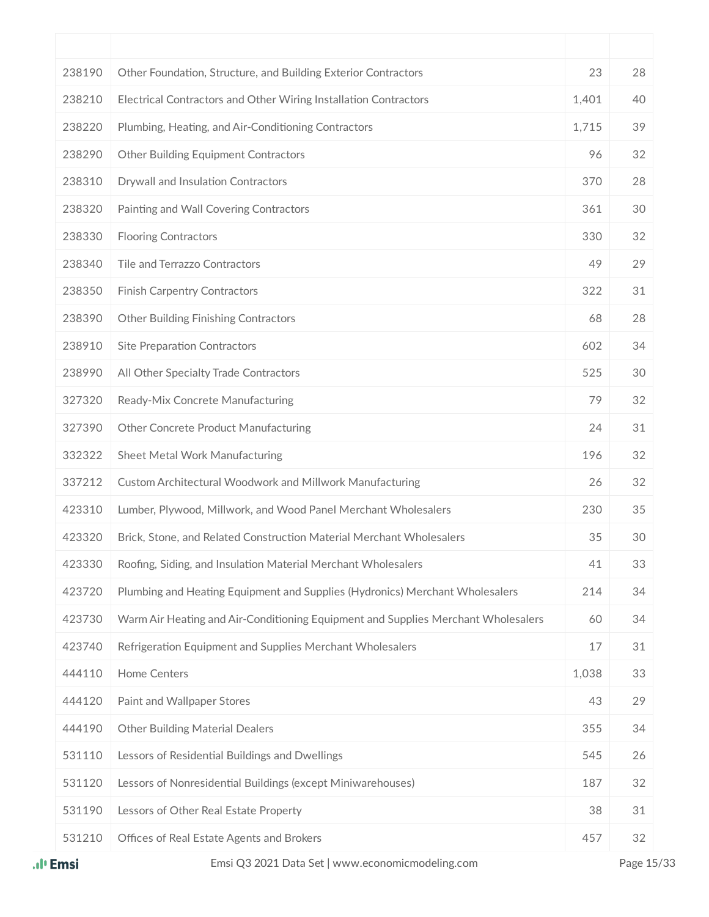| 238190 | Other Foundation, Structure, and Building Exterior Contractors                    | 23    | 28 |
|--------|-----------------------------------------------------------------------------------|-------|----|
| 238210 | Electrical Contractors and Other Wiring Installation Contractors                  | 1,401 | 40 |
| 238220 | Plumbing, Heating, and Air-Conditioning Contractors                               | 1,715 | 39 |
| 238290 | Other Building Equipment Contractors                                              | 96    | 32 |
| 238310 | Drywall and Insulation Contractors                                                | 370   | 28 |
| 238320 | Painting and Wall Covering Contractors                                            | 361   | 30 |
| 238330 | <b>Flooring Contractors</b>                                                       | 330   | 32 |
| 238340 | <b>Tile and Terrazzo Contractors</b>                                              | 49    | 29 |
| 238350 | <b>Finish Carpentry Contractors</b>                                               | 322   | 31 |
| 238390 | Other Building Finishing Contractors                                              | 68    | 28 |
| 238910 | <b>Site Preparation Contractors</b>                                               | 602   | 34 |
| 238990 | All Other Specialty Trade Contractors                                             | 525   | 30 |
| 327320 | Ready-Mix Concrete Manufacturing                                                  | 79    | 32 |
| 327390 | Other Concrete Product Manufacturing                                              | 24    | 31 |
| 332322 | <b>Sheet Metal Work Manufacturing</b>                                             | 196   | 32 |
| 337212 | Custom Architectural Woodwork and Millwork Manufacturing                          | 26    | 32 |
| 423310 | Lumber, Plywood, Millwork, and Wood Panel Merchant Wholesalers                    | 230   | 35 |
| 423320 | Brick, Stone, and Related Construction Material Merchant Wholesalers              | 35    | 30 |
| 423330 | Roofing, Siding, and Insulation Material Merchant Wholesalers                     | 41    | 33 |
| 423720 | Plumbing and Heating Equipment and Supplies (Hydronics) Merchant Wholesalers      | 214   | 34 |
| 423730 | Warm Air Heating and Air-Conditioning Equipment and Supplies Merchant Wholesalers | 60    | 34 |
| 423740 | Refrigeration Equipment and Supplies Merchant Wholesalers                         | 17    | 31 |
| 444110 | Home Centers                                                                      | 1,038 | 33 |
| 444120 | Paint and Wallpaper Stores                                                        | 43    | 29 |
| 444190 | <b>Other Building Material Dealers</b>                                            | 355   | 34 |
| 531110 | Lessors of Residential Buildings and Dwellings                                    | 545   | 26 |
| 531120 | Lessors of Nonresidential Buildings (except Miniwarehouses)                       | 187   | 32 |
| 531190 | Lessors of Other Real Estate Property                                             | 38    | 31 |
| 531210 | Offices of Real Estate Agents and Brokers                                         | 457   | 32 |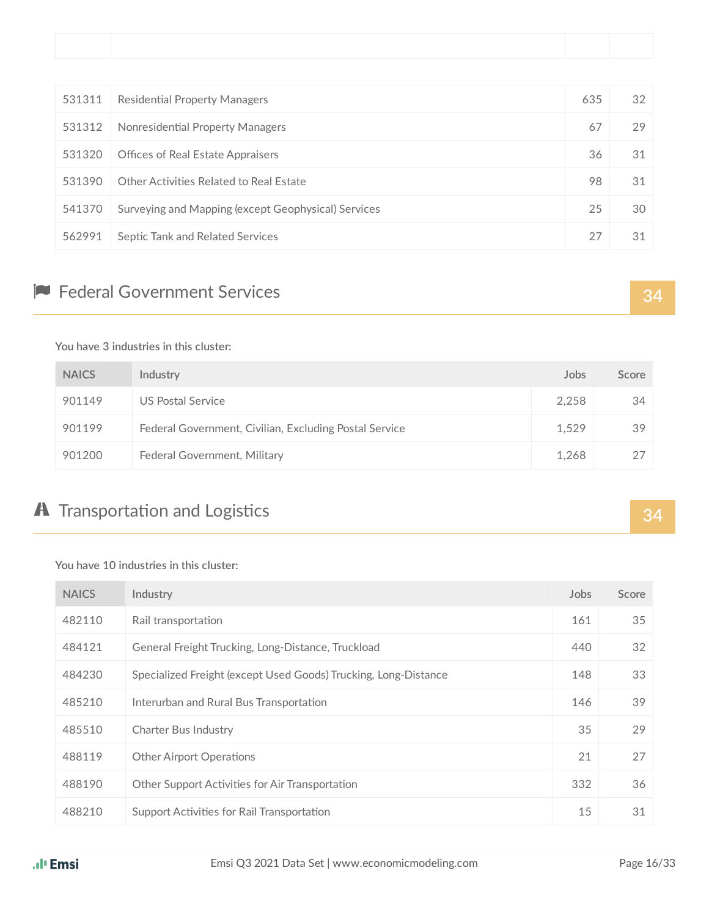| 531311 | <b>Residential Property Managers</b>                | 635 | 32 |
|--------|-----------------------------------------------------|-----|----|
| 531312 | Nonresidential Property Managers                    | 67  | 29 |
| 531320 | <b>Offices of Real Estate Appraisers</b>            | 36  | 31 |
| 531390 | Other Activities Related to Real Estate             | 98  | 31 |
| 541370 | Surveying and Mapping (except Geophysical) Services | 25  | 30 |
| 562991 | Septic Tank and Related Services                    | 27  | 31 |

# Federal Government Services **34**

#### **You have 3 industries in this cluster:**

| <b>NAICS</b> | Industry                                               | Jobs  | Score |
|--------------|--------------------------------------------------------|-------|-------|
| 901149       | US Postal Service                                      | 2.258 | 34    |
| 901199       | Federal Government, Civilian, Excluding Postal Service | 1,529 | 39    |
| 901200       | Federal Government, Military                           | 1.268 | -27   |

### A Transportation and Logistics **34 34**

#### **You have 10 industries in this cluster:**

| <b>NAICS</b> | Industry                                                        | Jobs | Score |
|--------------|-----------------------------------------------------------------|------|-------|
| 482110       | Rail transportation                                             | 161  | 35    |
| 484121       | General Freight Trucking, Long-Distance, Truckload              | 440  | 32    |
| 484230       | Specialized Freight (except Used Goods) Trucking, Long-Distance | 148  | 33    |
| 485210       | Interurban and Rural Bus Transportation                         | 146  | 39    |
| 485510       | Charter Bus Industry                                            | 35   | 29    |
| 488119       | <b>Other Airport Operations</b>                                 | 21   | 27    |
| 488190       | Other Support Activities for Air Transportation                 | 332  | 36    |
| 488210       | Support Activities for Rail Transportation                      | 15   | 31    |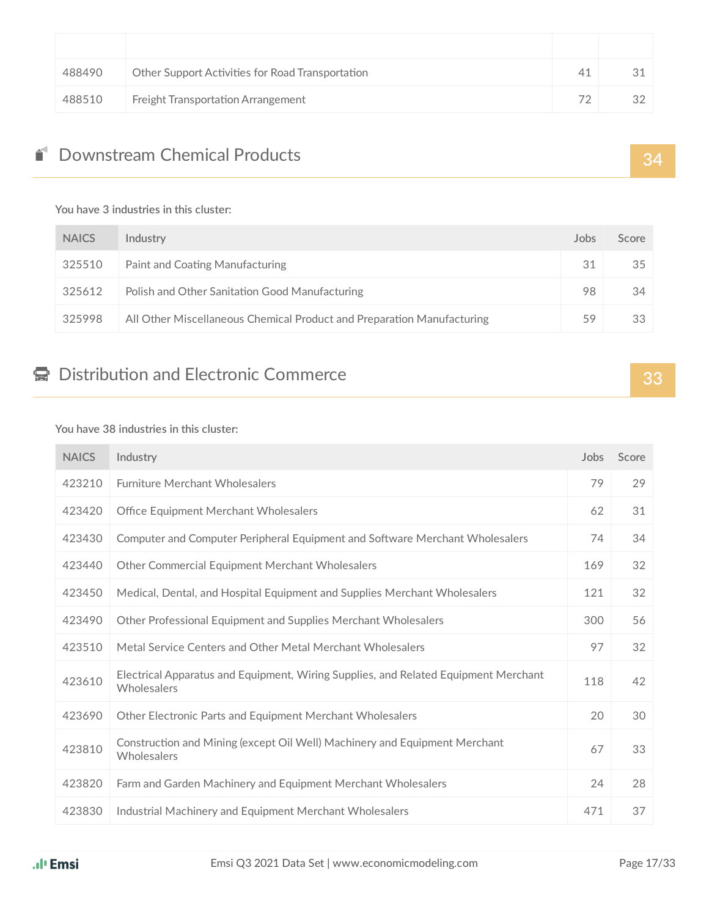| 488490 | Other Support Activities for Road Transportation | 41 | 31 |
|--------|--------------------------------------------------|----|----|
| 488510 | Freight Transportation Arrangement               | フク | 32 |

### Downstream Chemical Products **34 34**

#### **You have 3 industries in this cluster:**

| <b>NAICS</b> | Industry                                                               | Jobs | Score |
|--------------|------------------------------------------------------------------------|------|-------|
| 325510       | Paint and Coating Manufacturing                                        | 31   | -35   |
| 325612       | Polish and Other Sanitation Good Manufacturing                         | 98   | 34    |
| 325998       | All Other Miscellaneous Chemical Product and Preparation Manufacturing | 59   | -33   |

# e Distribution and Electronic Commerce **33**

#### **You have 38 industries in this cluster:**

| <b>NAICS</b> | Industry                                                                                           | Jobs | Score |
|--------------|----------------------------------------------------------------------------------------------------|------|-------|
| 423210       | <b>Furniture Merchant Wholesalers</b>                                                              | 79   | 29    |
| 423420       | Office Equipment Merchant Wholesalers                                                              | 62   | 31    |
| 423430       | Computer and Computer Peripheral Equipment and Software Merchant Wholesalers                       | 74   | 34    |
| 423440       | Other Commercial Equipment Merchant Wholesalers                                                    | 169  | 32    |
| 423450       | Medical, Dental, and Hospital Equipment and Supplies Merchant Wholesalers                          | 121  | 32    |
| 423490       | Other Professional Equipment and Supplies Merchant Wholesalers                                     | 300  | 56    |
| 423510       | Metal Service Centers and Other Metal Merchant Wholesalers                                         | 97   | 32    |
| 423610       | Electrical Apparatus and Equipment, Wiring Supplies, and Related Equipment Merchant<br>Wholesalers | 118  | 42    |
| 423690       | Other Electronic Parts and Equipment Merchant Wholesalers                                          | 20   | 30    |
| 423810       | Construction and Mining (except Oil Well) Machinery and Equipment Merchant<br>Wholesalers          | 67   | 33    |
| 423820       | Farm and Garden Machinery and Equipment Merchant Wholesalers                                       | 24   | 28    |
| 423830       | Industrial Machinery and Equipment Merchant Wholesalers                                            | 471  | 37    |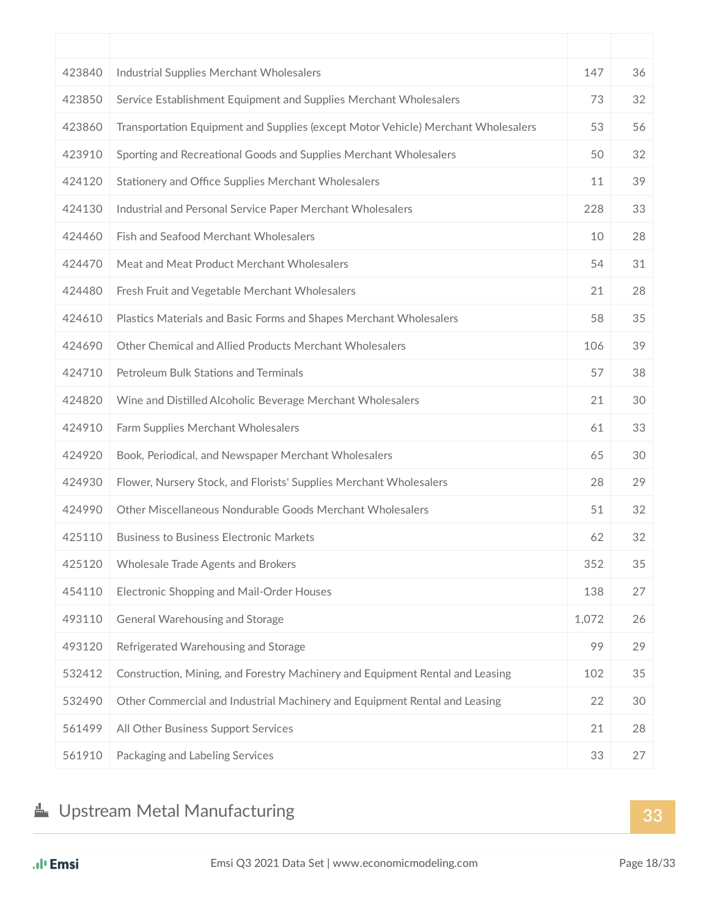| 423840 | Industrial Supplies Merchant Wholesalers                                          | 147   | 36 |
|--------|-----------------------------------------------------------------------------------|-------|----|
| 423850 | Service Establishment Equipment and Supplies Merchant Wholesalers                 | 73    | 32 |
| 423860 | Transportation Equipment and Supplies (except Motor Vehicle) Merchant Wholesalers | 53    | 56 |
| 423910 | Sporting and Recreational Goods and Supplies Merchant Wholesalers                 | 50    | 32 |
| 424120 | Stationery and Office Supplies Merchant Wholesalers                               | 11    | 39 |
| 424130 | Industrial and Personal Service Paper Merchant Wholesalers                        | 228   | 33 |
| 424460 | Fish and Seafood Merchant Wholesalers                                             | 10    | 28 |
| 424470 | Meat and Meat Product Merchant Wholesalers                                        | 54    | 31 |
| 424480 | Fresh Fruit and Vegetable Merchant Wholesalers                                    | 21    | 28 |
| 424610 | Plastics Materials and Basic Forms and Shapes Merchant Wholesalers                | 58    | 35 |
| 424690 | Other Chemical and Allied Products Merchant Wholesalers                           | 106   | 39 |
| 424710 | <b>Petroleum Bulk Stations and Terminals</b>                                      | 57    | 38 |
| 424820 | Wine and Distilled Alcoholic Beverage Merchant Wholesalers                        | 21    | 30 |
| 424910 | Farm Supplies Merchant Wholesalers                                                | 61    | 33 |
| 424920 | Book, Periodical, and Newspaper Merchant Wholesalers                              | 65    | 30 |
| 424930 | Flower, Nursery Stock, and Florists' Supplies Merchant Wholesalers                | 28    | 29 |
| 424990 | Other Miscellaneous Nondurable Goods Merchant Wholesalers                         | 51    | 32 |
| 425110 | <b>Business to Business Electronic Markets</b>                                    | 62    | 32 |
| 425120 | Wholesale Trade Agents and Brokers                                                | 352   | 35 |
| 454110 | Electronic Shopping and Mail-Order Houses                                         | 138   | 27 |
| 493110 | General Warehousing and Storage                                                   | 1,072 | 26 |
| 493120 | Refrigerated Warehousing and Storage                                              | 99    | 29 |
| 532412 | Construction, Mining, and Forestry Machinery and Equipment Rental and Leasing     | 102   | 35 |
| 532490 | Other Commercial and Industrial Machinery and Equipment Rental and Leasing        | 22    | 30 |
| 561499 | All Other Business Support Services                                               | 21    | 28 |
| 561910 | Packaging and Labeling Services                                                   | 33    | 27 |

# Upstream Metal Manufacturing **33**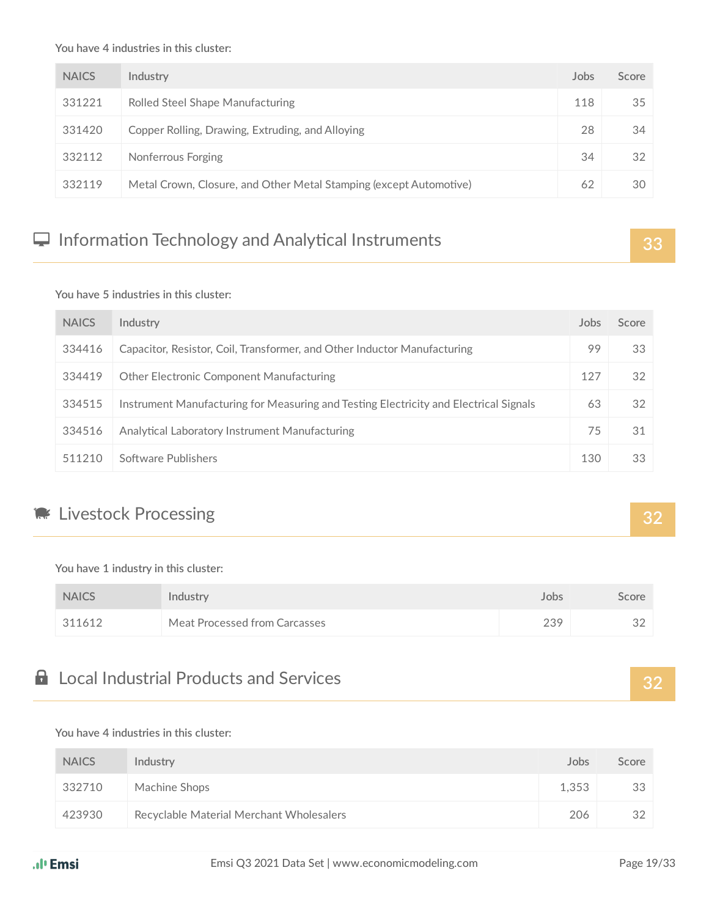**You have 4 industries in this cluster:**

| <b>NAICS</b> | Industry                                                           | Jobs | Score |
|--------------|--------------------------------------------------------------------|------|-------|
| 331221       | Rolled Steel Shape Manufacturing                                   | 118  | 35    |
| 331420       | Copper Rolling, Drawing, Extruding, and Alloying                   | 28   | 34    |
| 332112       | Nonferrous Forging                                                 | 34   | 32    |
| 332119       | Metal Crown, Closure, and Other Metal Stamping (except Automotive) | 62   | 30    |

## **Information Technology and Analytical Instruments 133**

#### **You have 5 industries in this cluster:**

| <b>NAICS</b> | Industry                                                                              | Jobs | Score |
|--------------|---------------------------------------------------------------------------------------|------|-------|
| 334416       | Capacitor, Resistor, Coil, Transformer, and Other Inductor Manufacturing              | 99   | 33    |
| 334419       | <b>Other Electronic Component Manufacturing</b>                                       | 127  | 32    |
| 334515       | Instrument Manufacturing for Measuring and Testing Electricity and Electrical Signals | 63   | 32    |
| 334516       | Analytical Laboratory Instrument Manufacturing                                        | 75   | 31    |
| 511210       | Software Publishers                                                                   | 130  | 33    |

### **Contract Section Section 22** and 32 and 32

#### **You have 1 industry in this cluster:**

| <b>NAICS</b> | Industry                      | Jobs | Score |
|--------------|-------------------------------|------|-------|
| 311612       | Meat Processed from Carcasses | 239  | 32    |

### Local Industrial Products and Services **32**

#### **You have 4 industries in this cluster:**

| <b>NAICS</b> | Industry                                 | Jobs  | Score |
|--------------|------------------------------------------|-------|-------|
| 332710       | Machine Shops                            | 1.353 | 33    |
| 423930       | Recyclable Material Merchant Wholesalers | 206   | 32    |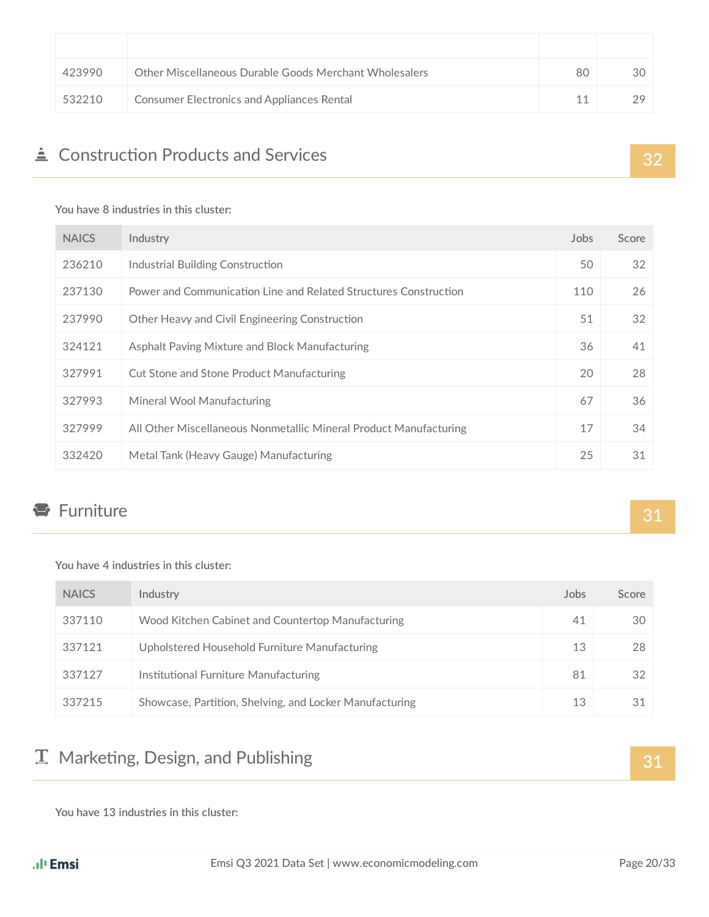| 423990 | Other Miscellaneous Durable Goods Merchant Wholesalers | 80 | 30 |
|--------|--------------------------------------------------------|----|----|
| 532210 | <b>Consumer Electronics and Appliances Rental</b>      |    | 29 |

### ▲ Construction Products and Services **32**

#### **You have 8 industries in this cluster:**

| <b>NAICS</b> | Industry                                                          | Jobs | Score |
|--------------|-------------------------------------------------------------------|------|-------|
| 236210       | Industrial Building Construction                                  | 50   | 32    |
| 237130       | Power and Communication Line and Related Structures Construction  | 110  | 26    |
| 237990       | Other Heavy and Civil Engineering Construction                    | 51   | 32    |
| 324121       | Asphalt Paving Mixture and Block Manufacturing                    | 36   | 41    |
| 327991       | <b>Cut Stone and Stone Product Manufacturing</b>                  | 20   | 28    |
| 327993       | Mineral Wool Manufacturing                                        | 67   | 36    |
| 327999       | All Other Miscellaneous Nonmetallic Mineral Product Manufacturing | 17   | 34    |
| 332420       | Metal Tank (Heavy Gauge) Manufacturing                            | 25   | 31    |

### Furniture **31**

#### **You have 4 industries in this cluster:**

| <b>NAICS</b> | <b>Industry</b>                                         | Jobs | Score |
|--------------|---------------------------------------------------------|------|-------|
| 337110       | Wood Kitchen Cabinet and Countertop Manufacturing       | 41   | 30    |
| 337121       | Upholstered Household Furniture Manufacturing           | 13   | 28    |
| 337127       | Institutional Furniture Manufacturing                   | 81   | 32    |
| 337215       | Showcase, Partition, Shelving, and Locker Manufacturing | 13   | 31    |

# **T** Marketing, Design, and Publishing **31**

**You have 13 industries in this cluster:**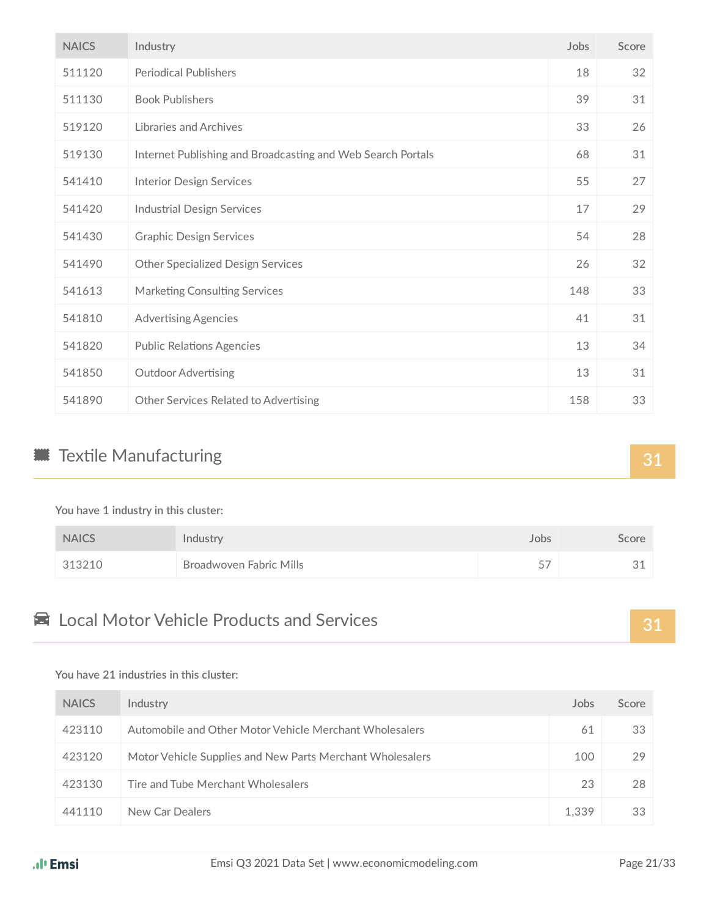| <b>NAICS</b> | Industry                                                    | Jobs | Score |
|--------------|-------------------------------------------------------------|------|-------|
| 511120       | <b>Periodical Publishers</b>                                | 18   | 32    |
| 511130       | <b>Book Publishers</b>                                      | 39   | 31    |
| 519120       | Libraries and Archives                                      | 33   | 26    |
| 519130       | Internet Publishing and Broadcasting and Web Search Portals | 68   | 31    |
| 541410       | <b>Interior Design Services</b>                             | 55   | 27    |
| 541420       | <b>Industrial Design Services</b>                           | 17   | 29    |
| 541430       | <b>Graphic Design Services</b>                              | 54   | 28    |
| 541490       | <b>Other Specialized Design Services</b>                    | 26   | 32    |
| 541613       | <b>Marketing Consulting Services</b>                        | 148  | 33    |
| 541810       | <b>Advertising Agencies</b>                                 | 41   | 31    |
| 541820       | <b>Public Relations Agencies</b>                            | 13   | 34    |
| 541850       | <b>Outdoor Advertising</b>                                  | 13   | 31    |
| 541890       | Other Services Related to Advertising                       | 158  | 33    |

### **Textile Manufacturing and Structuring and Structuring and Structuring and Structuring and Structuring and Structuring and Structuring and Structuring and Structuring and Structuring and Structuring and Structuring and Str**

**You have 1 industry in this cluster:**

| <b>NAICS</b> | Industry                | Jobs                   | Score           |
|--------------|-------------------------|------------------------|-----------------|
| 313210       | Broadwoven Fabric Mills | $- -$<br>~<br><u>.</u> | $\bigcap$<br>◡⊥ |

## **E** Local Motor Vehicle Products and Services **31**

#### **You have 21 industries in this cluster:**

| <b>NAICS</b> | Industry                                                  | Jobs  | Score |
|--------------|-----------------------------------------------------------|-------|-------|
| 423110       | Automobile and Other Motor Vehicle Merchant Wholesalers   | 61    | 33    |
| 423120       | Motor Vehicle Supplies and New Parts Merchant Wholesalers | 100   | 29    |
| 423130       | Tire and Tube Merchant Wholesalers                        | 23    | 28    |
| 441110       | New Car Dealers                                           | 1.339 | 33    |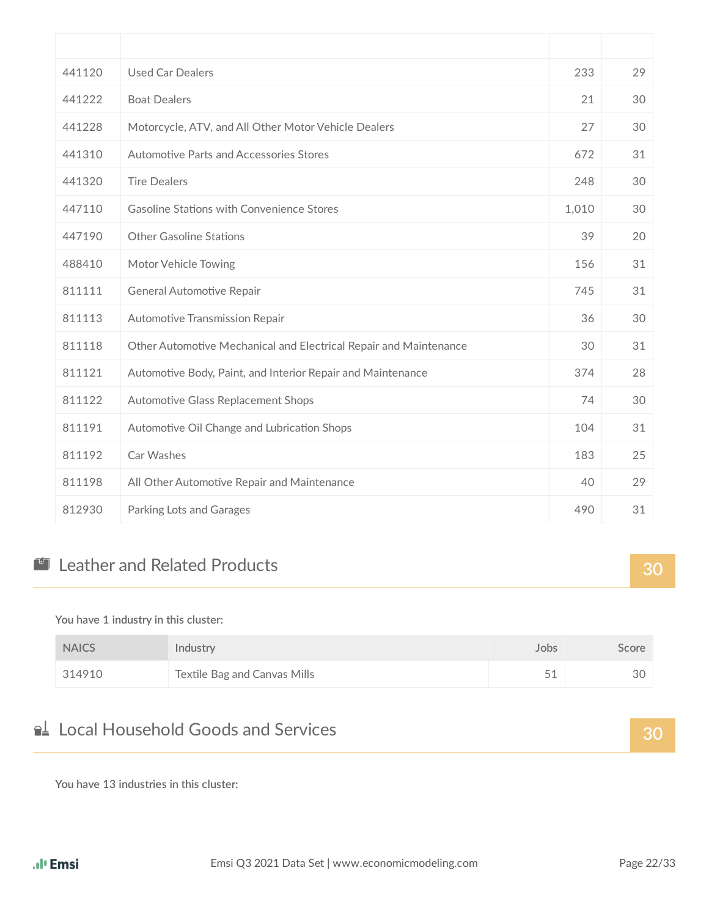| 441120 | <b>Used Car Dealers</b>                                           | 233   | 29 |
|--------|-------------------------------------------------------------------|-------|----|
| 441222 | <b>Boat Dealers</b>                                               | 21    | 30 |
| 441228 | Motorcycle, ATV, and All Other Motor Vehicle Dealers              | 27    | 30 |
| 441310 | Automotive Parts and Accessories Stores                           | 672   | 31 |
| 441320 | <b>Tire Dealers</b>                                               | 248   | 30 |
| 447110 | <b>Gasoline Stations with Convenience Stores</b>                  | 1,010 | 30 |
| 447190 | <b>Other Gasoline Stations</b>                                    | 39    | 20 |
| 488410 | Motor Vehicle Towing                                              | 156   | 31 |
| 811111 | General Automotive Repair                                         | 745   | 31 |
| 811113 | Automotive Transmission Repair                                    | 36    | 30 |
| 811118 | Other Automotive Mechanical and Electrical Repair and Maintenance | 30    | 31 |
| 811121 | Automotive Body, Paint, and Interior Repair and Maintenance       | 374   | 28 |
| 811122 | Automotive Glass Replacement Shops                                | 74    | 30 |
| 811191 | Automotive Oil Change and Lubrication Shops                       | 104   | 31 |
| 811192 | Car Washes                                                        | 183   | 25 |
| 811198 | All Other Automotive Repair and Maintenance                       | 40    | 29 |
| 812930 | Parking Lots and Garages                                          | 490   | 31 |

# Leather and Related Products **30**

#### **You have 1 industry in this cluster:**

| <b>NAICS</b> | Industry                     | Jobs | Score |
|--------------|------------------------------|------|-------|
| 314910       | Textile Bag and Canvas Mills | 51   | 30    |

## Local Household Goods and Services **30**

**You have 13 industries in this cluster:**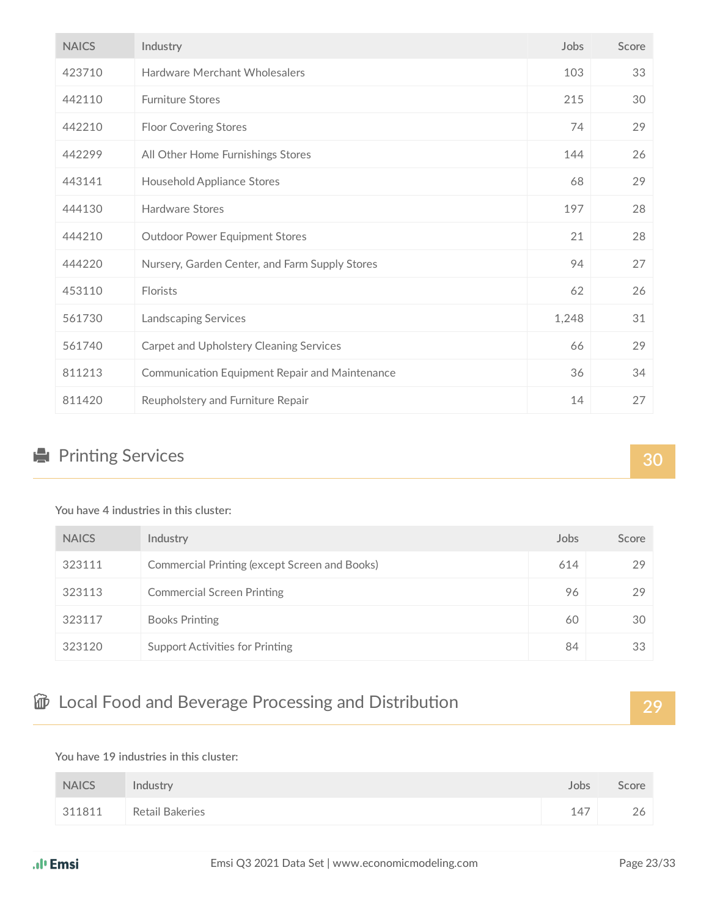| <b>NAICS</b> | Industry                                       | Jobs  | Score |
|--------------|------------------------------------------------|-------|-------|
| 423710       | Hardware Merchant Wholesalers                  | 103   | 33    |
| 442110       | <b>Furniture Stores</b>                        | 215   | 30    |
| 442210       | <b>Floor Covering Stores</b>                   | 74    | 29    |
| 442299       | All Other Home Furnishings Stores              | 144   | 26    |
| 443141       | <b>Household Appliance Stores</b>              | 68    | 29    |
| 444130       | <b>Hardware Stores</b>                         | 197   | 28    |
| 444210       | <b>Outdoor Power Equipment Stores</b>          | 21    | 28    |
| 444220       | Nursery, Garden Center, and Farm Supply Stores | 94    | 27    |
| 453110       | Florists                                       | 62    | 26    |
| 561730       | Landscaping Services                           | 1,248 | 31    |
| 561740       | Carpet and Upholstery Cleaning Services        | 66    | 29    |
| 811213       | Communication Equipment Repair and Maintenance | 36    | 34    |
| 811420       | Reupholstery and Furniture Repair              | 14    | 27    |

### **Printing Services 30**

**You have 4 industries in this cluster:**

| <b>NAICS</b> | Industry                                      | Jobs | Score |
|--------------|-----------------------------------------------|------|-------|
| 323111       | Commercial Printing (except Screen and Books) | 614  | 29    |
| 323113       | <b>Commercial Screen Printing</b>             | 96   | 29    |
| 323117       | <b>Books Printing</b>                         | 60   | 30    |
| 323120       | <b>Support Activities for Printing</b>        | 84   | 33    |

# *m* Local Food and Beverage Processing and Distribution 29

#### **You have 19 industries in this cluster:**

| <b>NAICS</b> | Industry        | Jobs | Score |
|--------------|-----------------|------|-------|
| 311811       | Retail Bakeries | 147  | 26    |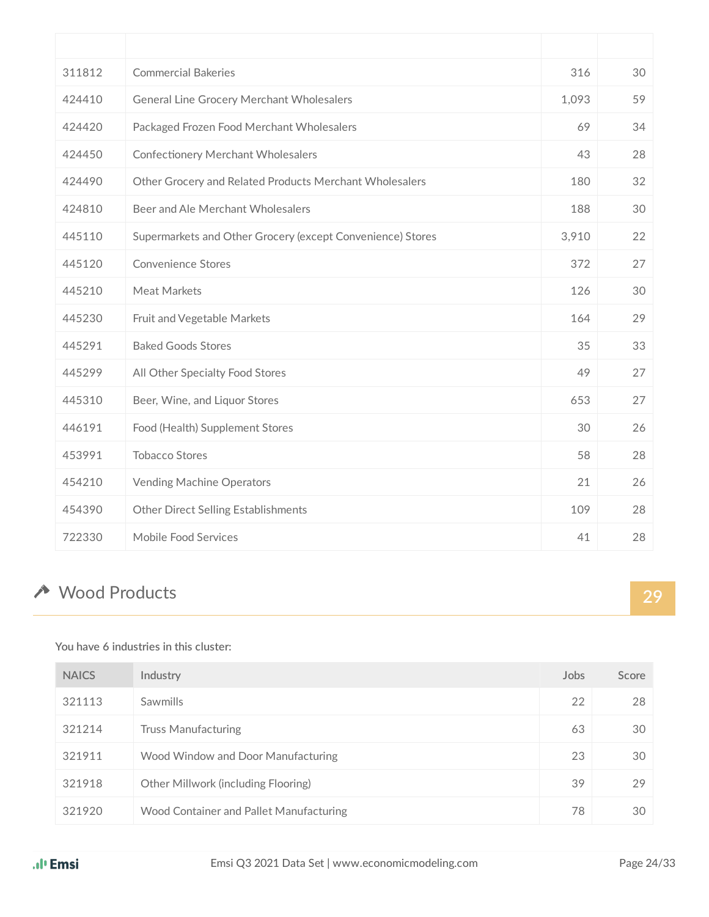| 311812 | <b>Commercial Bakeries</b>                                 | 316   | 30 |
|--------|------------------------------------------------------------|-------|----|
| 424410 | <b>General Line Grocery Merchant Wholesalers</b>           | 1,093 | 59 |
| 424420 | Packaged Frozen Food Merchant Wholesalers                  | 69    | 34 |
| 424450 | <b>Confectionery Merchant Wholesalers</b>                  | 43    | 28 |
| 424490 | Other Grocery and Related Products Merchant Wholesalers    | 180   | 32 |
| 424810 | Beer and Ale Merchant Wholesalers                          | 188   | 30 |
| 445110 | Supermarkets and Other Grocery (except Convenience) Stores | 3,910 | 22 |
| 445120 | <b>Convenience Stores</b>                                  | 372   | 27 |
| 445210 | <b>Meat Markets</b>                                        | 126   | 30 |
| 445230 | Fruit and Vegetable Markets                                | 164   | 29 |
| 445291 | <b>Baked Goods Stores</b>                                  | 35    | 33 |
| 445299 | All Other Specialty Food Stores                            | 49    | 27 |
| 445310 | Beer, Wine, and Liquor Stores                              | 653   | 27 |
| 446191 | Food (Health) Supplement Stores                            | 30    | 26 |
| 453991 | <b>Tobacco Stores</b>                                      | 58    | 28 |
| 454210 | <b>Vending Machine Operators</b>                           | 21    | 26 |
| 454390 | <b>Other Direct Selling Establishments</b>                 | 109   | 28 |
| 722330 | Mobile Food Services                                       | 41    | 28 |

# ◆ Wood Products 29

#### **You have 6 industries in this cluster:**

| <b>NAICS</b> | Industry                                | Jobs | Score |
|--------------|-----------------------------------------|------|-------|
| 321113       | <b>Sawmills</b>                         | 22   | 28    |
| 321214       | <b>Truss Manufacturing</b>              | 63   | 30    |
| 321911       | Wood Window and Door Manufacturing      | 23   | 30    |
| 321918       | Other Millwork (including Flooring)     | 39   | 29    |
| 321920       | Wood Container and Pallet Manufacturing | 78   | 30    |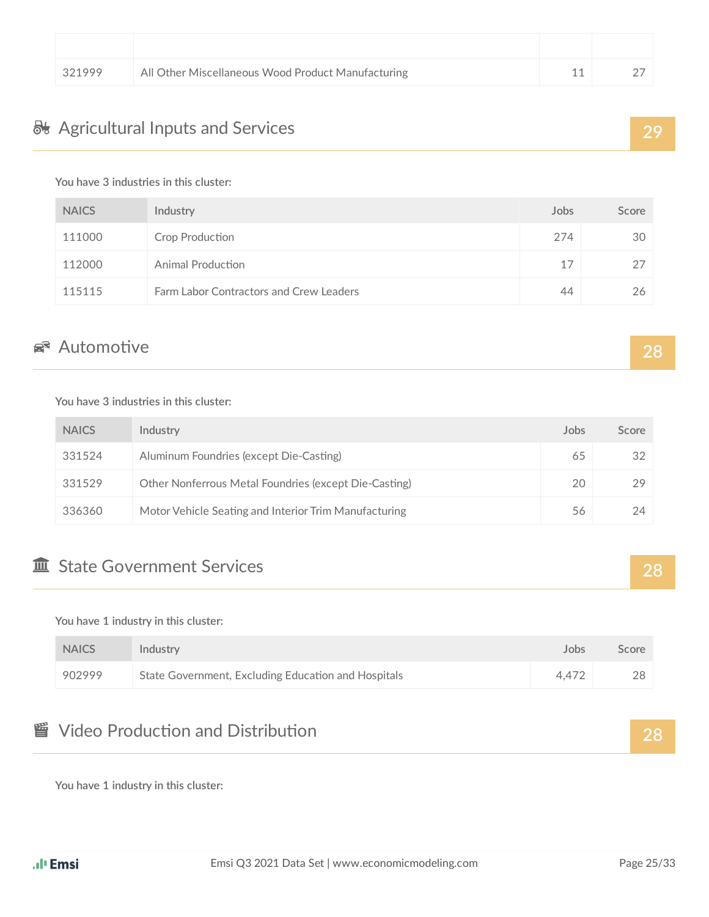| 321999 | All Other Miscellaneous Wood Product Manufacturing |  |
|--------|----------------------------------------------------|--|

### Agricultural Inputs and Services **29**

#### **You have 3 industries in this cluster:**

| <b>NAICS</b> | Industry                                | Jobs | Score |
|--------------|-----------------------------------------|------|-------|
| 111000       | Crop Production                         | 274  | 30    |
| 112000       | Animal Production                       | 17   | 27    |
| 115115       | Farm Labor Contractors and Crew Leaders | 44   | 26    |

### es Automotive 28

#### **You have 3 industries in this cluster:**

| <b>NAICS</b> | Industry                                              | Jobs | Score |
|--------------|-------------------------------------------------------|------|-------|
| 331524       | Aluminum Foundries (except Die-Casting)               | 65   | -32   |
| 331529       | Other Nonferrous Metal Foundries (except Die-Casting) | 20   | 29    |
| 336360       | Motor Vehicle Seating and Interior Trim Manufacturing | 56   | 24    |

### State Government Services **28**

#### **You have 1 industry in this cluster:**

| <b>NAICS</b> | Industry                                            | Jobs  | Score |
|--------------|-----------------------------------------------------|-------|-------|
| 902999       | State Government, Excluding Education and Hospitals | 4.472 | 28    |

### **管** Video Production and Distribution **28**

**You have 1 industry in this cluster:**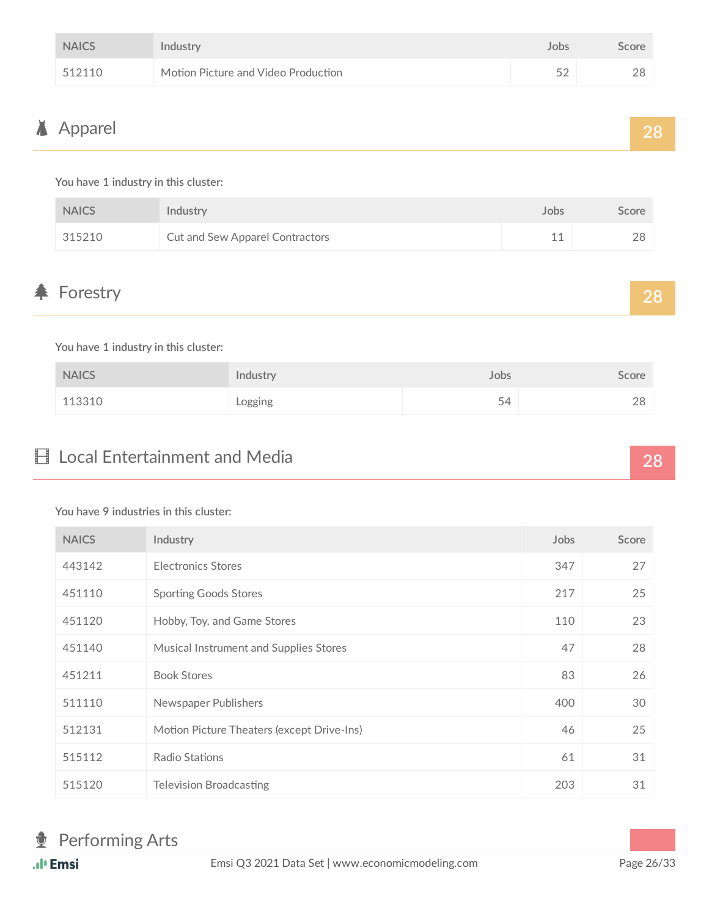| <b>NAICS</b> | Industry                            | Jobs | Score |
|--------------|-------------------------------------|------|-------|
| 512110       | Motion Picture and Video Production | につ   | 28    |

## Apparel **28**

**You have 1 industry in this cluster:**

| <b>NAICS</b> | Industry                        | Jobs | Score |
|--------------|---------------------------------|------|-------|
| 315210       | Cut and Sew Apparel Contractors | 11   | 28    |

### **Example 28** Forestry **28**

**You have 1 industry in this cluster:**

| <b>NAICS</b> | Industry | Jobs | Score |
|--------------|----------|------|-------|
| 113310       | Logging  | 54   | 28    |

## El Local Entertainment and Media **28**

| <b>NAICS</b> | Industry                                   | Jobs | Score |
|--------------|--------------------------------------------|------|-------|
| 443142       | <b>Electronics Stores</b>                  | 347  | 27    |
| 451110       | <b>Sporting Goods Stores</b>               | 217  | 25    |
| 451120       | Hobby, Toy, and Game Stores                | 110  | 23    |
| 451140       | Musical Instrument and Supplies Stores     | 47   | 28    |
| 451211       | <b>Book Stores</b>                         | 83   | 26    |
| 511110       | Newspaper Publishers                       | 400  | 30    |
| 512131       | Motion Picture Theaters (except Drive-Ins) | 46   | 25    |
| 515112       | Radio Stations                             | 61   | 31    |
| 515120       | <b>Television Broadcasting</b>             | 203  | 31    |

#### **You have 9 industries in this cluster:**

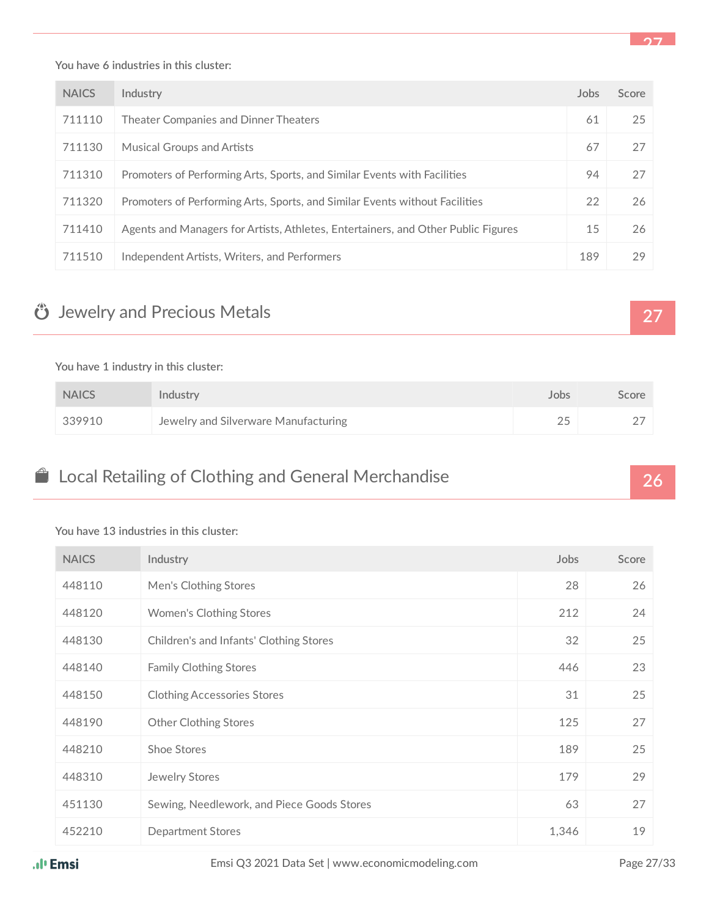**You have 6 industries in this cluster:**

| <b>NAICS</b> | Industry                                                                          | Jobs | Score |
|--------------|-----------------------------------------------------------------------------------|------|-------|
| 711110       | Theater Companies and Dinner Theaters                                             | 61   | 25    |
| 711130       | <b>Musical Groups and Artists</b>                                                 | 67   | 27    |
| 711310       | Promoters of Performing Arts, Sports, and Similar Events with Facilities          | 94   | 27    |
| 711320       | Promoters of Performing Arts, Sports, and Similar Events without Facilities       | 22   | 26    |
| 711410       | Agents and Managers for Artists, Athletes, Entertainers, and Other Public Figures | 15   | 26    |
| 711510       | Independent Artists, Writers, and Performers                                      | 189  | 29    |

### Jewelry and Precious Metals **27**

#### **You have 1 industry in this cluster:**

| <b>NAICS</b> | Industry                             | Jobs | Score |
|--------------|--------------------------------------|------|-------|
| 339910       | Jewelry and Silverware Manufacturing |      |       |

### Local Retailing of Clothing and General Merchandise **26**

# 448110 Men's Clothing Stores 26 448120 Women's Clothing Stores 212 24 448130 Children's and Infants' Clothing Stores 32 32 35 448140 Family Clothing Stores 23 448150 Clothing Accessories Stores 31 25 448190 Other Clothing Stores 125 27 448210 Shoe Stores 25 448310 Jewelry Stores 29 451130 Sewing, Needlework, and Piece Goods Stores 63 27 452210 Department Stores 1,346 19 **NAICS Industry Jobs Score**

#### **You have 13 industries in this cluster:**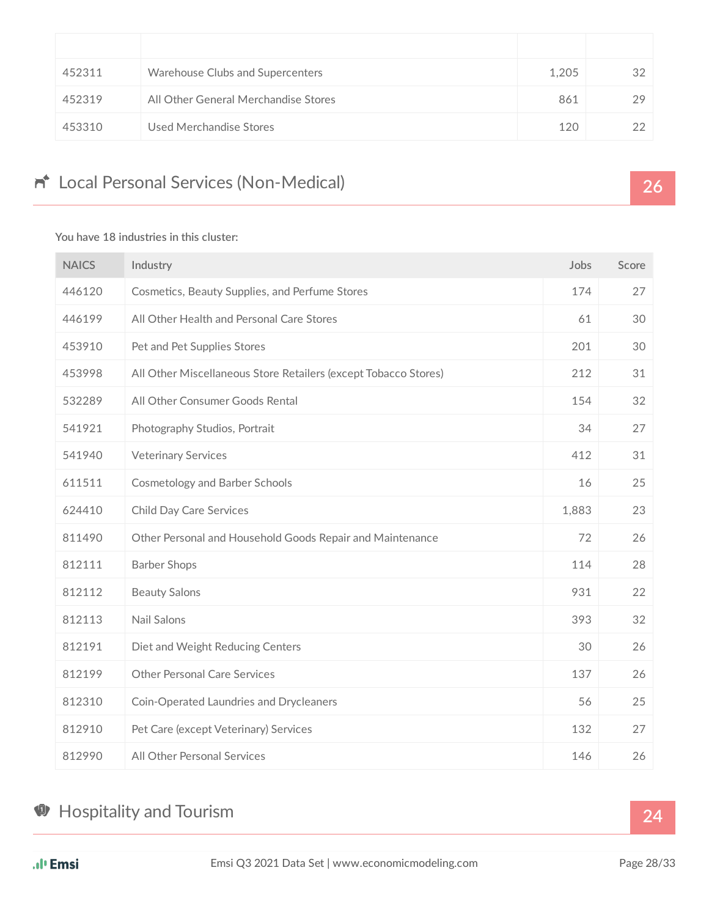| 452311 | Warehouse Clubs and Supercenters     | 1.205 | 32 |
|--------|--------------------------------------|-------|----|
| 452319 | All Other General Merchandise Stores | 861   | 29 |
| 453310 | Used Merchandise Stores              | 120   |    |

# Local Personal Services (Non-Medical) **26**

#### **You have 18 industries in this cluster:**

| <b>NAICS</b> | Industry                                                        | Jobs  | Score |
|--------------|-----------------------------------------------------------------|-------|-------|
| 446120       | Cosmetics, Beauty Supplies, and Perfume Stores                  | 174   | 27    |
| 446199       | All Other Health and Personal Care Stores                       | 61    | 30    |
| 453910       | Pet and Pet Supplies Stores                                     | 201   | 30    |
| 453998       | All Other Miscellaneous Store Retailers (except Tobacco Stores) | 212   | 31    |
| 532289       | All Other Consumer Goods Rental                                 | 154   | 32    |
| 541921       | Photography Studios, Portrait                                   | 34    | 27    |
| 541940       | <b>Veterinary Services</b>                                      | 412   | 31    |
| 611511       | <b>Cosmetology and Barber Schools</b>                           | 16    | 25    |
| 624410       | <b>Child Day Care Services</b>                                  | 1,883 | 23    |
| 811490       | Other Personal and Household Goods Repair and Maintenance       | 72    | 26    |
| 812111       | <b>Barber Shops</b>                                             | 114   | 28    |
| 812112       | <b>Beauty Salons</b>                                            | 931   | 22    |
| 812113       | Nail Salons                                                     | 393   | 32    |
| 812191       | Diet and Weight Reducing Centers                                | 30    | 26    |
| 812199       | <b>Other Personal Care Services</b>                             | 137   | 26    |
| 812310       | Coin-Operated Laundries and Drycleaners                         | 56    | 25    |
| 812910       | Pet Care (except Veterinary) Services                           | 132   | 27    |
| 812990       | All Other Personal Services                                     | 146   | 26    |

## **C** Hospitality and Tourism **24**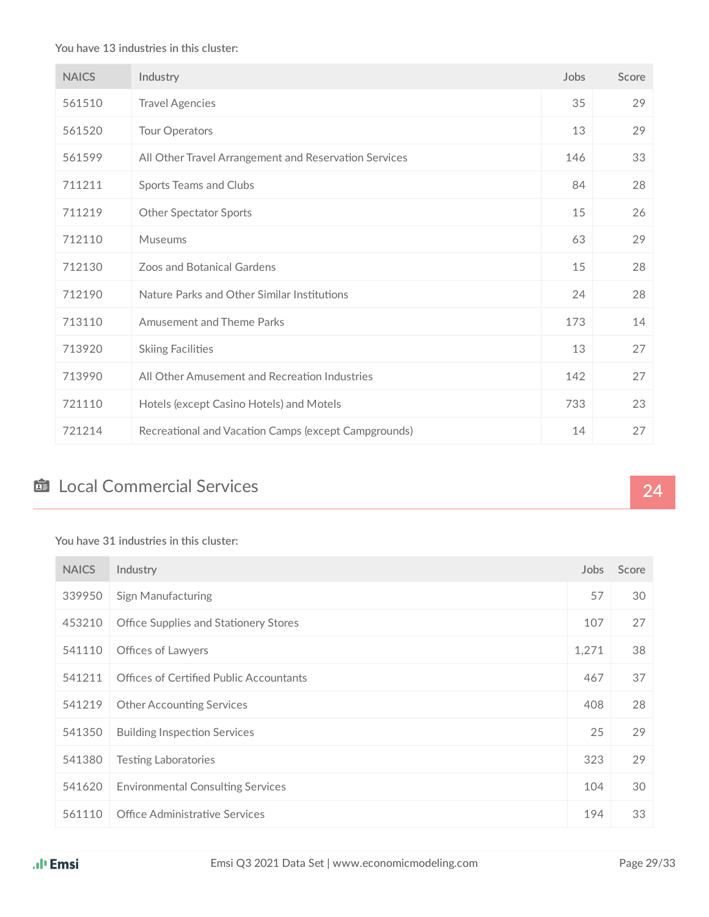#### **You have 13 industries in this cluster:**

| <b>NAICS</b> | Industry                                              | Jobs | Score |
|--------------|-------------------------------------------------------|------|-------|
| 561510       | <b>Travel Agencies</b>                                | 35   | 29    |
| 561520       | <b>Tour Operators</b>                                 | 13   | 29    |
| 561599       | All Other Travel Arrangement and Reservation Services | 146  | 33    |
| 711211       | Sports Teams and Clubs                                | 84   | 28    |
| 711219       | <b>Other Spectator Sports</b>                         | 15   | 26    |
| 712110       | Museums                                               | 63   | 29    |
| 712130       | Zoos and Botanical Gardens                            | 15   | 28    |
| 712190       | Nature Parks and Other Similar Institutions           | 24   | 28    |
| 713110       | <b>Amusement and Theme Parks</b>                      | 173  | 14    |
| 713920       | <b>Skiing Facilities</b>                              | 13   | 27    |
| 713990       | All Other Amusement and Recreation Industries         | 142  | 27    |
| 721110       | Hotels (except Casino Hotels) and Motels              | 733  | 23    |
| 721214       | Recreational and Vacation Camps (except Campgrounds)  | 14   | 27    |

### **面** Local Commercial Services **24**

#### **You have 31 industries in this cluster:**

| <b>NAICS</b> | Industry                                       | Jobs  | Score |
|--------------|------------------------------------------------|-------|-------|
| 339950       | <b>Sign Manufacturing</b>                      | 57    | 30    |
| 453210       | Office Supplies and Stationery Stores          | 107   | 27    |
| 541110       | <b>Offices of Lawyers</b>                      | 1,271 | 38    |
| 541211       | <b>Offices of Certified Public Accountants</b> | 467   | 37    |
| 541219       | <b>Other Accounting Services</b>               | 408   | 28    |
| 541350       | <b>Building Inspection Services</b>            | 25    | 29    |
| 541380       | <b>Testing Laboratories</b>                    | 323   | 29    |
| 541620       | <b>Environmental Consulting Services</b>       | 104   | 30    |
| 561110       | <b>Office Administrative Services</b>          | 194   | 33    |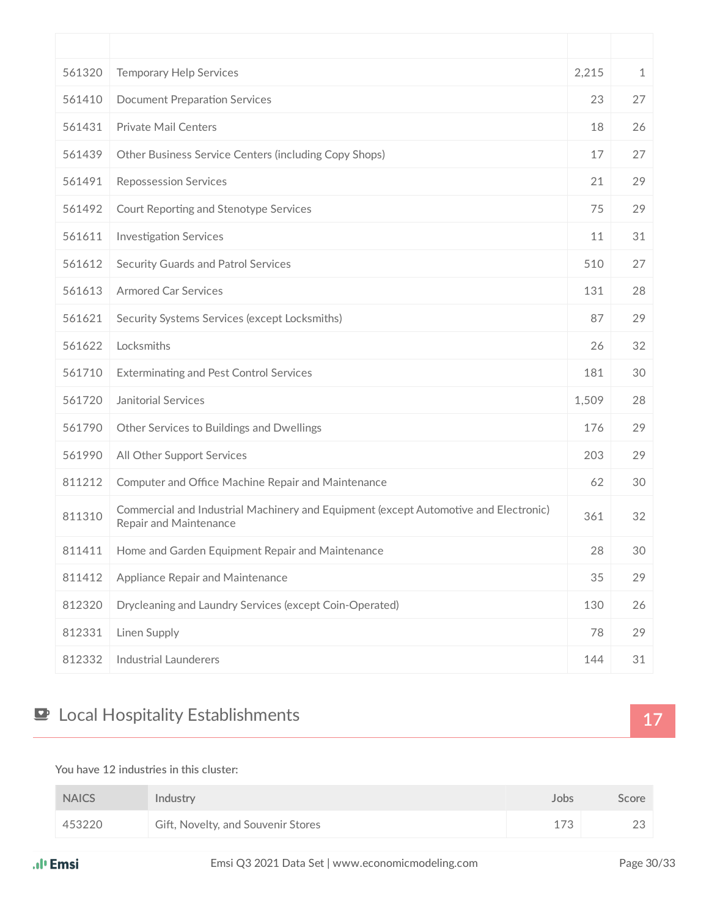| 561320 | <b>Temporary Help Services</b>                                                                                 | 2,215 | $\mathbf{1}$ |
|--------|----------------------------------------------------------------------------------------------------------------|-------|--------------|
| 561410 | <b>Document Preparation Services</b>                                                                           | 23    | 27           |
| 561431 | <b>Private Mail Centers</b>                                                                                    | 18    | 26           |
| 561439 | Other Business Service Centers (including Copy Shops)                                                          | 17    | 27           |
| 561491 | <b>Repossession Services</b>                                                                                   | 21    | 29           |
| 561492 | Court Reporting and Stenotype Services                                                                         | 75    | 29           |
| 561611 | <b>Investigation Services</b>                                                                                  | 11    | 31           |
| 561612 | <b>Security Guards and Patrol Services</b>                                                                     | 510   | 27           |
| 561613 | <b>Armored Car Services</b>                                                                                    | 131   | 28           |
| 561621 | Security Systems Services (except Locksmiths)                                                                  | 87    | 29           |
| 561622 | Locksmiths                                                                                                     | 26    | 32           |
| 561710 | <b>Exterminating and Pest Control Services</b>                                                                 | 181   | 30           |
| 561720 | Janitorial Services                                                                                            | 1,509 | 28           |
| 561790 | Other Services to Buildings and Dwellings                                                                      | 176   | 29           |
| 561990 | All Other Support Services                                                                                     | 203   | 29           |
| 811212 | Computer and Office Machine Repair and Maintenance                                                             | 62    | 30           |
| 811310 | Commercial and Industrial Machinery and Equipment (except Automotive and Electronic)<br>Repair and Maintenance | 361   | 32           |
| 811411 | Home and Garden Equipment Repair and Maintenance                                                               | 28    | 30           |
| 811412 | Appliance Repair and Maintenance                                                                               | 35    | 29           |
| 812320 | Drycleaning and Laundry Services (except Coin-Operated)                                                        | 130   | 26           |
| 812331 | Linen Supply                                                                                                   | 78    | 29           |
| 812332 | <b>Industrial Launderers</b>                                                                                   | 144   | 31           |

# **D** Local Hospitality Establishments **17**

#### **You have 12 industries in this cluster:**

| <b>NAICS</b> | Industry                           | Jobs | Score |
|--------------|------------------------------------|------|-------|
| 453220       | Gift, Novelty, and Souvenir Stores | 173  | つつ    |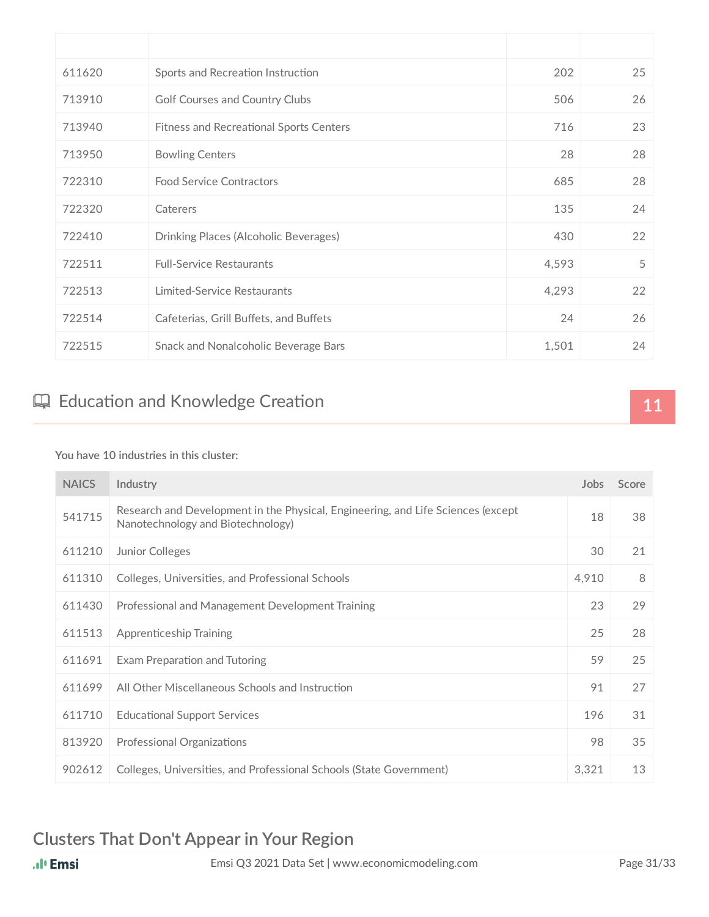| 611620 | Sports and Recreation Instruction              | 202   | 25 |
|--------|------------------------------------------------|-------|----|
| 713910 | <b>Golf Courses and Country Clubs</b>          | 506   | 26 |
| 713940 | <b>Fitness and Recreational Sports Centers</b> | 716   | 23 |
| 713950 | <b>Bowling Centers</b>                         | 28    | 28 |
| 722310 | <b>Food Service Contractors</b>                | 685   | 28 |
| 722320 | Caterers                                       | 135   | 24 |
| 722410 | Drinking Places (Alcoholic Beverages)          | 430   | 22 |
| 722511 | <b>Full-Service Restaurants</b>                | 4,593 | 5  |
| 722513 | Limited-Service Restaurants                    | 4,293 | 22 |
| 722514 | Cafeterias, Grill Buffets, and Buffets         | 24    | 26 |
| 722515 | Snack and Nonalcoholic Beverage Bars           | 1,501 | 24 |

## Education and Knowledge Creation **11 11**

#### **You have 10 industries in this cluster:**

| <b>NAICS</b> | Industry                                                                                                              | Jobs  | Score |
|--------------|-----------------------------------------------------------------------------------------------------------------------|-------|-------|
| 541715       | Research and Development in the Physical, Engineering, and Life Sciences (except<br>Nanotechnology and Biotechnology) | 18    | 38    |
| 611210       | Junior Colleges                                                                                                       | 30    | 21    |
| 611310       | Colleges, Universities, and Professional Schools                                                                      | 4,910 | 8     |
| 611430       | Professional and Management Development Training                                                                      | 23    | 29    |
| 611513       | <b>Apprenticeship Training</b>                                                                                        | 25    | 28    |
| 611691       | Exam Preparation and Tutoring                                                                                         | 59    | 25    |
| 611699       | All Other Miscellaneous Schools and Instruction                                                                       | 91    | 27    |
| 611710       | <b>Educational Support Services</b>                                                                                   | 196   | 31    |
| 813920       | Professional Organizations                                                                                            | 98    | 35    |
| 902612       | Colleges, Universities, and Professional Schools (State Government)                                                   | 3,321 | 13    |

### **Clusters That Don't Appear in Your Region**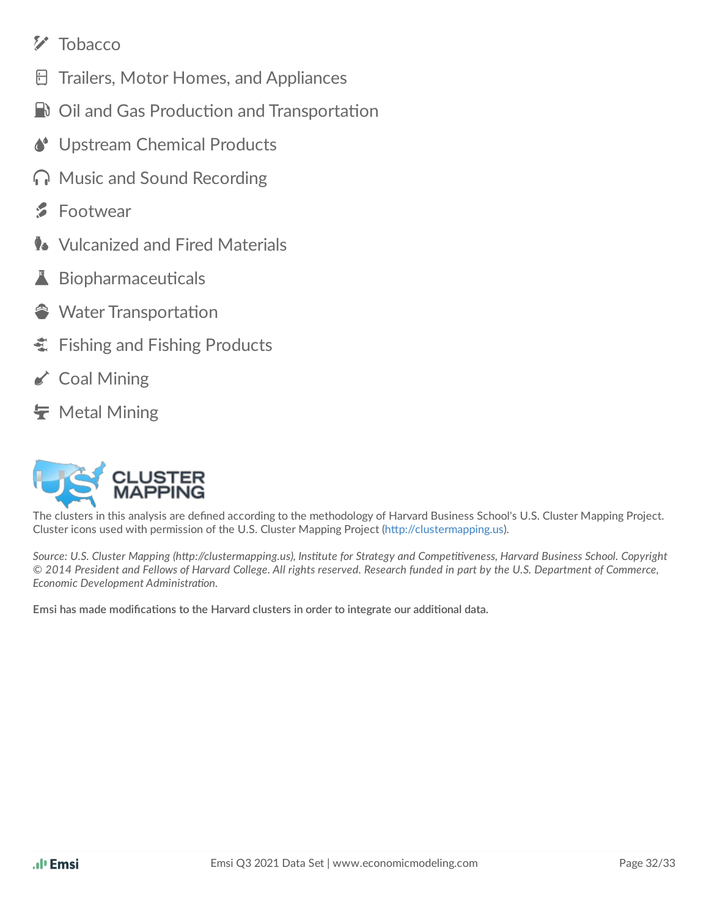- *Tobacco*
- 日 Trailers, Motor Homes, and Appliances
- $\Box$  Oil and Gas Production and Transportation
- Upstream Chemical Products
- **Music and Sound Recording**
- **S** Footwear
- $\bullet$  Vulcanized and Fired Materials
- $\blacksquare$  Biopharmaceuticals
- ♦ Water Transportation
- Fishing and Fishing Products
- Coal Mining
- **ケ** Metal Mining



The clusters in this analysis are defined according to the methodology of Harvard Business School's U.S. Cluster Mapping Project. Cluster icons used with permission of the U.S. Cluster Mapping Project (http://clustermapping.us).

Source: U.S. Cluster Mapping (http://clustermapping.us), Institute for Strategy and Competitiveness, Harvard Business School. Copyright © 2014 President and Fellows of Harvard College. All rights reserved. Research funded in part by the U.S. Department of Commerce, *Economic Development Administration.* 

**Emsi has made modificaons to the Harvard clusters in order to integrate our addional data.**